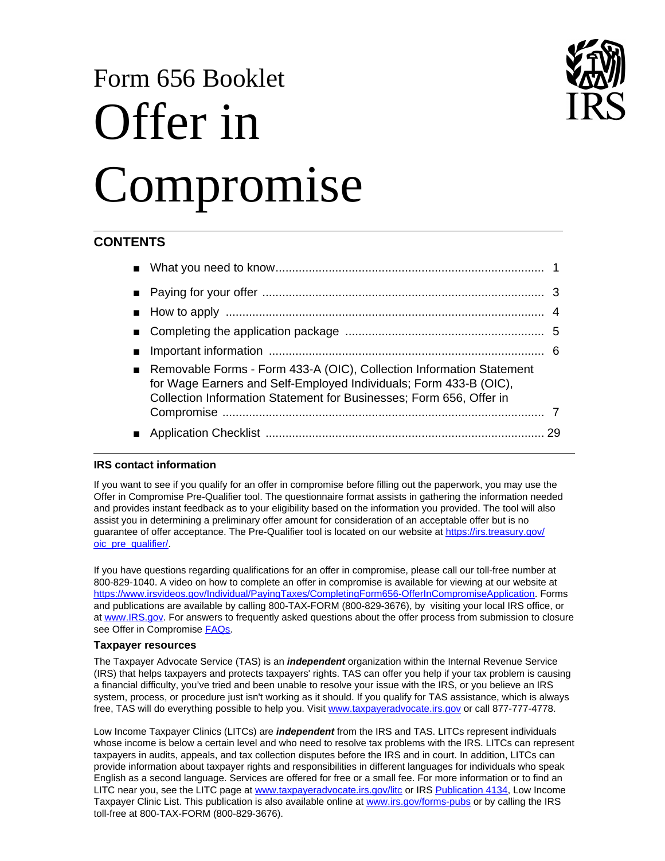# Form 656 Booklet Offer in Compromise

# **CONTENTS**

| Removable Forms - Form 433-A (OIC), Collection Information Statement<br>for Wage Earners and Self-Employed Individuals; Form 433-B (OIC),<br>Collection Information Statement for Businesses; Form 656, Offer in |    |
|------------------------------------------------------------------------------------------------------------------------------------------------------------------------------------------------------------------|----|
|                                                                                                                                                                                                                  |    |
|                                                                                                                                                                                                                  | 29 |

## **IRS contact information**

If you want to see if you qualify for an offer in compromise before filling out the paperwork, you may use the Offer in Compromise Pre-Qualifier tool. The questionnaire format assists in gathering the information needed and provides instant feedback as to your eligibility based on the information you provided. The tool will also assist you in determining a preliminary offer amount for consideration of an acceptable offer but is no guarantee of offer acceptance. The Pre-Qualifier tool is located on our website at https://irs.treasury.gov/ oic\_pre\_qualifier/.

If you have questions regarding qualifications for an offer in compromise, please call our toll-free number at 800-829-1040. A video on how to complete an offer in compromise is available for viewing at our website at https://www.irsvideos.gov/Individual/PayingTaxes/CompletingForm656-OfferInCompromiseApplication. Forms and publications are available by calling 800-TAX-FORM (800-829-3676), by visiting your local IRS office, or at www.IRS.gov. For answers to frequently asked questions about the offer process from submission to closure see Offer in Compromise **FAQs**.

## **Taxpayer resources**

The Taxpayer Advocate Service (TAS) is an *independent* organization within the Internal Revenue Service (IRS) that helps taxpayers and protects taxpayers' rights. TAS can offer you help if your tax problem is causing a financial difficulty, you've tried and been unable to resolve your issue with the IRS, or you believe an IRS system, process, or procedure just isn't working as it should. If you qualify for TAS assistance, which is always free, TAS will do everything possible to help you. Visit www.taxpayeradvocate.irs.gov or call 877-777-4778.

Low Income Taxpayer Clinics (LITCs) are *independent* from the IRS and TAS. LITCs represent individuals whose income is below a certain level and who need to resolve tax problems with the IRS. LITCs can represent taxpayers in audits, appeals, and tax collection disputes before the IRS and in court. In addition, LITCs can provide information about taxpayer rights and responsibilities in different languages for individuals who speak English as a second language. Services are offered for free or a small fee. For more information or to find an LITC near you, see the LITC page at www.taxpayeradvocate.irs.gov/litc or IRS Publication 4134, Low Income Taxpayer Clinic List. This publication is also available online at www.irs.gov/forms-pubs or by calling the IRS toll-free at 800-TAX-FORM (800-829-3676).

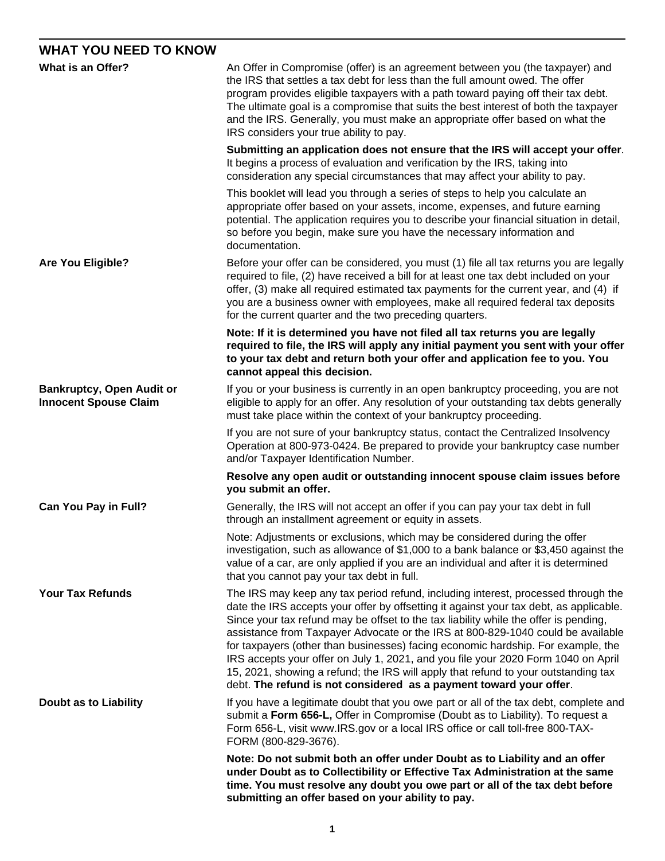# **WHAT YOU NEED TO KNOW**

| What is an Offer?                                                | An Offer in Compromise (offer) is an agreement between you (the taxpayer) and<br>the IRS that settles a tax debt for less than the full amount owed. The offer<br>program provides eligible taxpayers with a path toward paying off their tax debt.<br>The ultimate goal is a compromise that suits the best interest of both the taxpayer<br>and the IRS. Generally, you must make an appropriate offer based on what the<br>IRS considers your true ability to pay.                                                                                                                                                                                                                       |  |  |  |
|------------------------------------------------------------------|---------------------------------------------------------------------------------------------------------------------------------------------------------------------------------------------------------------------------------------------------------------------------------------------------------------------------------------------------------------------------------------------------------------------------------------------------------------------------------------------------------------------------------------------------------------------------------------------------------------------------------------------------------------------------------------------|--|--|--|
|                                                                  | Submitting an application does not ensure that the IRS will accept your offer.<br>It begins a process of evaluation and verification by the IRS, taking into<br>consideration any special circumstances that may affect your ability to pay.                                                                                                                                                                                                                                                                                                                                                                                                                                                |  |  |  |
|                                                                  | This booklet will lead you through a series of steps to help you calculate an<br>appropriate offer based on your assets, income, expenses, and future earning<br>potential. The application requires you to describe your financial situation in detail,<br>so before you begin, make sure you have the necessary information and<br>documentation.                                                                                                                                                                                                                                                                                                                                         |  |  |  |
| <b>Are You Eligible?</b>                                         | Before your offer can be considered, you must (1) file all tax returns you are legally<br>required to file, (2) have received a bill for at least one tax debt included on your<br>offer, (3) make all required estimated tax payments for the current year, and (4) if<br>you are a business owner with employees, make all required federal tax deposits<br>for the current quarter and the two preceding quarters.                                                                                                                                                                                                                                                                       |  |  |  |
|                                                                  | Note: If it is determined you have not filed all tax returns you are legally<br>required to file, the IRS will apply any initial payment you sent with your offer<br>to your tax debt and return both your offer and application fee to you. You<br>cannot appeal this decision.                                                                                                                                                                                                                                                                                                                                                                                                            |  |  |  |
| <b>Bankruptcy, Open Audit or</b><br><b>Innocent Spouse Claim</b> | If you or your business is currently in an open bankruptcy proceeding, you are not<br>eligible to apply for an offer. Any resolution of your outstanding tax debts generally<br>must take place within the context of your bankruptcy proceeding.                                                                                                                                                                                                                                                                                                                                                                                                                                           |  |  |  |
|                                                                  | If you are not sure of your bankruptcy status, contact the Centralized Insolvency<br>Operation at 800-973-0424. Be prepared to provide your bankruptcy case number<br>and/or Taxpayer Identification Number.                                                                                                                                                                                                                                                                                                                                                                                                                                                                                |  |  |  |
|                                                                  | Resolve any open audit or outstanding innocent spouse claim issues before<br>you submit an offer.                                                                                                                                                                                                                                                                                                                                                                                                                                                                                                                                                                                           |  |  |  |
| Can You Pay in Full?                                             | Generally, the IRS will not accept an offer if you can pay your tax debt in full<br>through an installment agreement or equity in assets.                                                                                                                                                                                                                                                                                                                                                                                                                                                                                                                                                   |  |  |  |
|                                                                  | Note: Adjustments or exclusions, which may be considered during the offer<br>investigation, such as allowance of \$1,000 to a bank balance or \$3,450 against the<br>value of a car, are only applied if you are an individual and after it is determined<br>that you cannot pay your tax debt in full.                                                                                                                                                                                                                                                                                                                                                                                     |  |  |  |
| <b>Your Tax Refunds</b>                                          | The IRS may keep any tax period refund, including interest, processed through the<br>date the IRS accepts your offer by offsetting it against your tax debt, as applicable.<br>Since your tax refund may be offset to the tax liability while the offer is pending,<br>assistance from Taxpayer Advocate or the IRS at 800-829-1040 could be available<br>for taxpayers (other than businesses) facing economic hardship. For example, the<br>IRS accepts your offer on July 1, 2021, and you file your 2020 Form 1040 on April<br>15, 2021, showing a refund; the IRS will apply that refund to your outstanding tax<br>debt. The refund is not considered as a payment toward your offer. |  |  |  |
| <b>Doubt as to Liability</b>                                     | If you have a legitimate doubt that you owe part or all of the tax debt, complete and<br>submit a Form 656-L, Offer in Compromise (Doubt as to Liability). To request a<br>Form 656-L, visit www.IRS.gov or a local IRS office or call toll-free 800-TAX-<br>FORM (800-829-3676).                                                                                                                                                                                                                                                                                                                                                                                                           |  |  |  |
|                                                                  | Note: Do not submit both an offer under Doubt as to Liability and an offer<br>under Doubt as to Collectibility or Effective Tax Administration at the same<br>time. You must resolve any doubt you owe part or all of the tax debt before<br>submitting an offer based on your ability to pay.                                                                                                                                                                                                                                                                                                                                                                                              |  |  |  |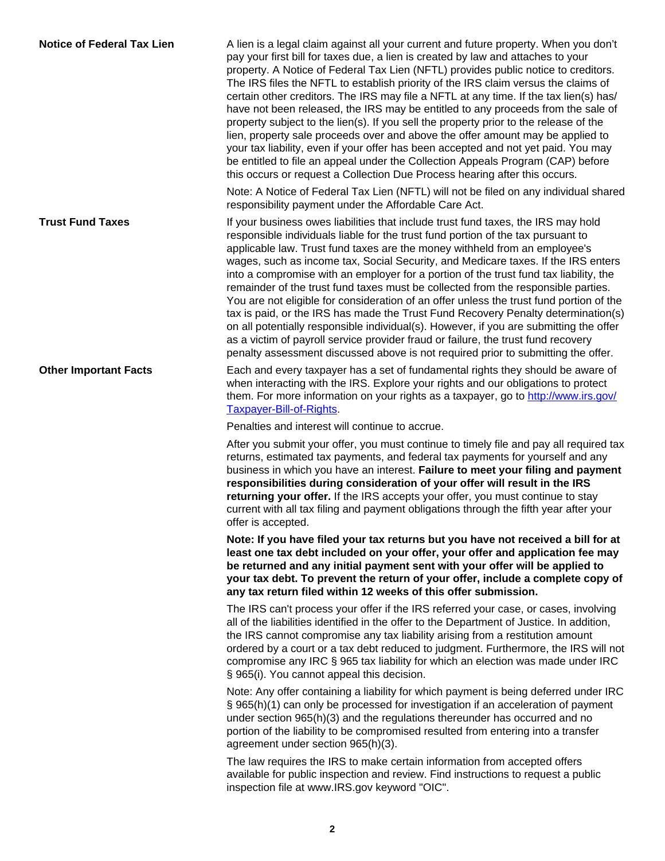| <b>Notice of Federal Tax Lien</b> | A lien is a legal claim against all your current and future property. When you don't<br>pay your first bill for taxes due, a lien is created by law and attaches to your<br>property. A Notice of Federal Tax Lien (NFTL) provides public notice to creditors.<br>The IRS files the NFTL to establish priority of the IRS claim versus the claims of<br>certain other creditors. The IRS may file a NFTL at any time. If the tax lien(s) has/<br>have not been released, the IRS may be entitled to any proceeds from the sale of<br>property subject to the lien(s). If you sell the property prior to the release of the<br>lien, property sale proceeds over and above the offer amount may be applied to<br>your tax liability, even if your offer has been accepted and not yet paid. You may<br>be entitled to file an appeal under the Collection Appeals Program (CAP) before<br>this occurs or request a Collection Due Process hearing after this occurs.        |
|-----------------------------------|----------------------------------------------------------------------------------------------------------------------------------------------------------------------------------------------------------------------------------------------------------------------------------------------------------------------------------------------------------------------------------------------------------------------------------------------------------------------------------------------------------------------------------------------------------------------------------------------------------------------------------------------------------------------------------------------------------------------------------------------------------------------------------------------------------------------------------------------------------------------------------------------------------------------------------------------------------------------------|
|                                   | Note: A Notice of Federal Tax Lien (NFTL) will not be filed on any individual shared<br>responsibility payment under the Affordable Care Act.                                                                                                                                                                                                                                                                                                                                                                                                                                                                                                                                                                                                                                                                                                                                                                                                                              |
| <b>Trust Fund Taxes</b>           | If your business owes liabilities that include trust fund taxes, the IRS may hold<br>responsible individuals liable for the trust fund portion of the tax pursuant to<br>applicable law. Trust fund taxes are the money withheld from an employee's<br>wages, such as income tax, Social Security, and Medicare taxes. If the IRS enters<br>into a compromise with an employer for a portion of the trust fund tax liability, the<br>remainder of the trust fund taxes must be collected from the responsible parties.<br>You are not eligible for consideration of an offer unless the trust fund portion of the<br>tax is paid, or the IRS has made the Trust Fund Recovery Penalty determination(s)<br>on all potentially responsible individual(s). However, if you are submitting the offer<br>as a victim of payroll service provider fraud or failure, the trust fund recovery<br>penalty assessment discussed above is not required prior to submitting the offer. |
| <b>Other Important Facts</b>      | Each and every taxpayer has a set of fundamental rights they should be aware of<br>when interacting with the IRS. Explore your rights and our obligations to protect<br>them. For more information on your rights as a taxpayer, go to http://www.irs.gov/<br><b>Taxpayer-Bill-of-Rights</b>                                                                                                                                                                                                                                                                                                                                                                                                                                                                                                                                                                                                                                                                               |
|                                   | Penalties and interest will continue to accrue.                                                                                                                                                                                                                                                                                                                                                                                                                                                                                                                                                                                                                                                                                                                                                                                                                                                                                                                            |
|                                   | After you submit your offer, you must continue to timely file and pay all required tax<br>returns, estimated tax payments, and federal tax payments for yourself and any<br>business in which you have an interest. Failure to meet your filing and payment<br>responsibilities during consideration of your offer will result in the IRS<br>returning your offer. If the IRS accepts your offer, you must continue to stay<br>current with all tax filing and payment obligations through the fifth year after your<br>offer is accepted.                                                                                                                                                                                                                                                                                                                                                                                                                                 |
|                                   | Note: If you have filed your tax returns but you have not received a bill for at<br>least one tax debt included on your offer, your offer and application fee may<br>be returned and any initial payment sent with your offer will be applied to<br>your tax debt. To prevent the return of your offer, include a complete copy of<br>any tax return filed within 12 weeks of this offer submission.                                                                                                                                                                                                                                                                                                                                                                                                                                                                                                                                                                       |
|                                   | The IRS can't process your offer if the IRS referred your case, or cases, involving<br>all of the liabilities identified in the offer to the Department of Justice. In addition,<br>the IRS cannot compromise any tax liability arising from a restitution amount<br>ordered by a court or a tax debt reduced to judgment. Furthermore, the IRS will not<br>compromise any IRC § 965 tax liability for which an election was made under IRC<br>§ 965(i). You cannot appeal this decision.                                                                                                                                                                                                                                                                                                                                                                                                                                                                                  |
|                                   | Note: Any offer containing a liability for which payment is being deferred under IRC<br>§ 965(h)(1) can only be processed for investigation if an acceleration of payment<br>under section 965(h)(3) and the regulations thereunder has occurred and no<br>portion of the liability to be compromised resulted from entering into a transfer<br>agreement under section 965(h)(3).                                                                                                                                                                                                                                                                                                                                                                                                                                                                                                                                                                                         |
|                                   | The law requires the IRS to make certain information from accepted offers<br>available for public inspection and review. Find instructions to request a public<br>inspection file at www.IRS.gov keyword "OIC".                                                                                                                                                                                                                                                                                                                                                                                                                                                                                                                                                                                                                                                                                                                                                            |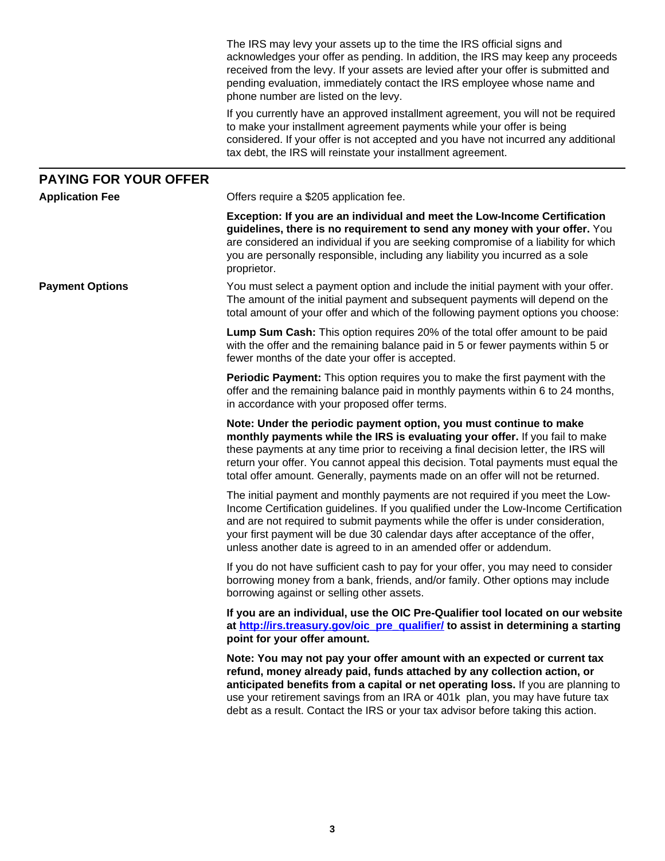|                              | The IRS may levy your assets up to the time the IRS official signs and<br>acknowledges your offer as pending. In addition, the IRS may keep any proceeds<br>received from the levy. If your assets are levied after your offer is submitted and<br>pending evaluation, immediately contact the IRS employee whose name and<br>phone number are listed on the levy.                                               |
|------------------------------|------------------------------------------------------------------------------------------------------------------------------------------------------------------------------------------------------------------------------------------------------------------------------------------------------------------------------------------------------------------------------------------------------------------|
|                              | If you currently have an approved installment agreement, you will not be required<br>to make your installment agreement payments while your offer is being<br>considered. If your offer is not accepted and you have not incurred any additional<br>tax debt, the IRS will reinstate your installment agreement.                                                                                                 |
| <b>PAYING FOR YOUR OFFER</b> |                                                                                                                                                                                                                                                                                                                                                                                                                  |
| <b>Application Fee</b>       | Offers require a \$205 application fee.                                                                                                                                                                                                                                                                                                                                                                          |
|                              | Exception: If you are an individual and meet the Low-Income Certification<br>guidelines, there is no requirement to send any money with your offer. You<br>are considered an individual if you are seeking compromise of a liability for which<br>you are personally responsible, including any liability you incurred as a sole<br>proprietor.                                                                  |
| <b>Payment Options</b>       | You must select a payment option and include the initial payment with your offer.<br>The amount of the initial payment and subsequent payments will depend on the<br>total amount of your offer and which of the following payment options you choose:                                                                                                                                                           |
|                              | <b>Lump Sum Cash:</b> This option requires 20% of the total offer amount to be paid<br>with the offer and the remaining balance paid in 5 or fewer payments within 5 or<br>fewer months of the date your offer is accepted.                                                                                                                                                                                      |
|                              | <b>Periodic Payment:</b> This option requires you to make the first payment with the<br>offer and the remaining balance paid in monthly payments within 6 to 24 months,<br>in accordance with your proposed offer terms.                                                                                                                                                                                         |
|                              | Note: Under the periodic payment option, you must continue to make<br>monthly payments while the IRS is evaluating your offer. If you fail to make<br>these payments at any time prior to receiving a final decision letter, the IRS will<br>return your offer. You cannot appeal this decision. Total payments must equal the<br>total offer amount. Generally, payments made on an offer will not be returned. |
|                              | The initial payment and monthly payments are not required if you meet the Low-<br>Income Certification guidelines. If you qualified under the Low-Income Certification<br>and are not required to submit payments while the offer is under consideration,<br>your first payment will be due 30 calendar days after acceptance of the offer,<br>unless another date is agreed to in an amended offer or addendum. |
|                              | If you do not have sufficient cash to pay for your offer, you may need to consider<br>borrowing money from a bank, friends, and/or family. Other options may include<br>borrowing against or selling other assets.                                                                                                                                                                                               |
|                              | If you are an individual, use the OIC Pre-Qualifier tool located on our website<br>at http://irs.treasury.gov/oic_pre_qualifier/ to assist in determining a starting<br>point for your offer amount.                                                                                                                                                                                                             |
|                              | Note: You may not pay your offer amount with an expected or current tax<br>refund, money already paid, funds attached by any collection action, or<br>anticipated benefits from a capital or net operating loss. If you are planning to<br>use your retirement savings from an IRA or 401k plan, you may have future tax<br>debt as a result. Contact the IRS or your tax advisor before taking this action.     |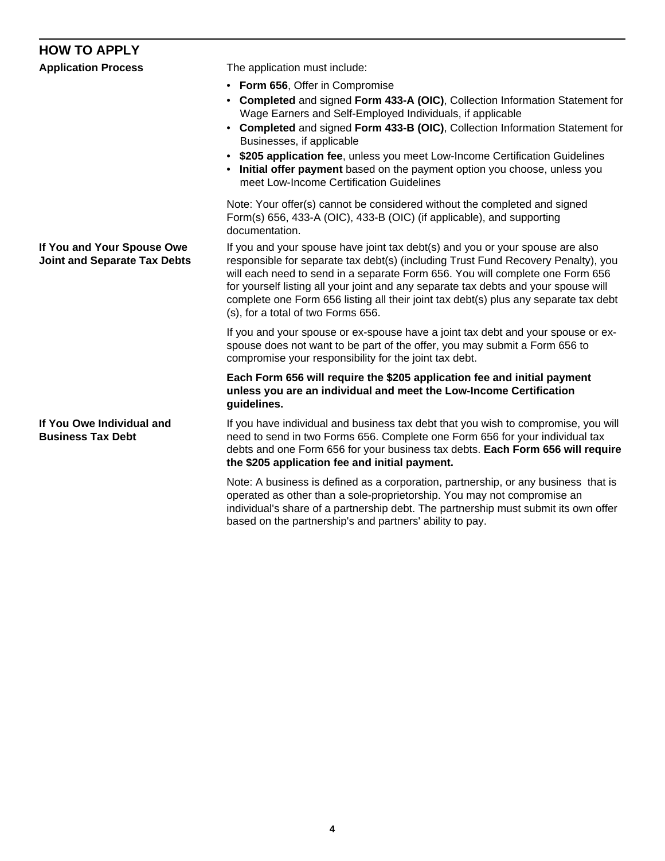# **HOW TO APPLY**

| <b>Application Process</b>                                        | The application must include:<br>• Form 656, Offer in Compromise<br>• Completed and signed Form 433-A (OIC), Collection Information Statement for<br>Wage Earners and Self-Employed Individuals, if applicable<br>• Completed and signed Form 433-B (OIC), Collection Information Statement for<br>Businesses, if applicable<br>• \$205 application fee, unless you meet Low-Income Certification Guidelines<br>Initial offer payment based on the payment option you choose, unless you<br>meet Low-Income Certification Guidelines |  |  |
|-------------------------------------------------------------------|--------------------------------------------------------------------------------------------------------------------------------------------------------------------------------------------------------------------------------------------------------------------------------------------------------------------------------------------------------------------------------------------------------------------------------------------------------------------------------------------------------------------------------------|--|--|
|                                                                   | Note: Your offer(s) cannot be considered without the completed and signed<br>Form(s) 656, 433-A (OIC), 433-B (OIC) (if applicable), and supporting<br>documentation.                                                                                                                                                                                                                                                                                                                                                                 |  |  |
| If You and Your Spouse Owe<br><b>Joint and Separate Tax Debts</b> | If you and your spouse have joint tax debt(s) and you or your spouse are also<br>responsible for separate tax debt(s) (including Trust Fund Recovery Penalty), you<br>will each need to send in a separate Form 656. You will complete one Form 656<br>for yourself listing all your joint and any separate tax debts and your spouse will<br>complete one Form 656 listing all their joint tax debt(s) plus any separate tax debt<br>(s), for a total of two Forms 656.                                                             |  |  |
|                                                                   | If you and your spouse or ex-spouse have a joint tax debt and your spouse or ex-<br>spouse does not want to be part of the offer, you may submit a Form 656 to<br>compromise your responsibility for the joint tax debt.                                                                                                                                                                                                                                                                                                             |  |  |
|                                                                   | Each Form 656 will require the \$205 application fee and initial payment<br>unless you are an individual and meet the Low-Income Certification<br>guidelines.                                                                                                                                                                                                                                                                                                                                                                        |  |  |
| If You Owe Individual and<br><b>Business Tax Debt</b>             | If you have individual and business tax debt that you wish to compromise, you will<br>need to send in two Forms 656. Complete one Form 656 for your individual tax<br>debts and one Form 656 for your business tax debts. Each Form 656 will require<br>the \$205 application fee and initial payment.                                                                                                                                                                                                                               |  |  |

Note: A business is defined as a corporation, partnership, or any business that is operated as other than a sole-proprietorship. You may not compromise an individual's share of a partnership debt. The partnership must submit its own offer based on the partnership's and partners' ability to pay.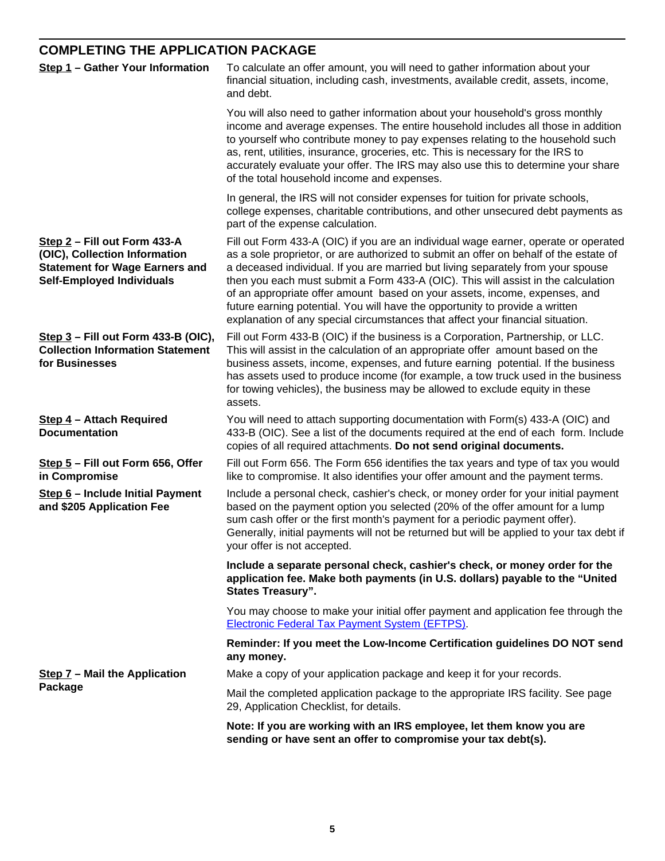# **COMPLETING THE APPLICATION PACKAGE**

| Step 1 - Gather Your Information                                                                                                           | To calculate an offer amount, you will need to gather information about your<br>financial situation, including cash, investments, available credit, assets, income,<br>and debt.                                                                                                                                                                                                                                                                                                                                                                                                                      |  |  |  |  |
|--------------------------------------------------------------------------------------------------------------------------------------------|-------------------------------------------------------------------------------------------------------------------------------------------------------------------------------------------------------------------------------------------------------------------------------------------------------------------------------------------------------------------------------------------------------------------------------------------------------------------------------------------------------------------------------------------------------------------------------------------------------|--|--|--|--|
|                                                                                                                                            | You will also need to gather information about your household's gross monthly<br>income and average expenses. The entire household includes all those in addition<br>to yourself who contribute money to pay expenses relating to the household such<br>as, rent, utilities, insurance, groceries, etc. This is necessary for the IRS to<br>accurately evaluate your offer. The IRS may also use this to determine your share<br>of the total household income and expenses.                                                                                                                          |  |  |  |  |
|                                                                                                                                            | In general, the IRS will not consider expenses for tuition for private schools,<br>college expenses, charitable contributions, and other unsecured debt payments as<br>part of the expense calculation.                                                                                                                                                                                                                                                                                                                                                                                               |  |  |  |  |
| Step 2 - Fill out Form 433-A<br>(OIC), Collection Information<br><b>Statement for Wage Earners and</b><br><b>Self-Employed Individuals</b> | Fill out Form 433-A (OIC) if you are an individual wage earner, operate or operated<br>as a sole proprietor, or are authorized to submit an offer on behalf of the estate of<br>a deceased individual. If you are married but living separately from your spouse<br>then you each must submit a Form 433-A (OIC). This will assist in the calculation<br>of an appropriate offer amount based on your assets, income, expenses, and<br>future earning potential. You will have the opportunity to provide a written<br>explanation of any special circumstances that affect your financial situation. |  |  |  |  |
| Step $3$ – Fill out Form 433-B (OIC),<br><b>Collection Information Statement</b><br>for Businesses                                         | Fill out Form 433-B (OIC) if the business is a Corporation, Partnership, or LLC.<br>This will assist in the calculation of an appropriate offer amount based on the<br>business assets, income, expenses, and future earning potential. If the business<br>has assets used to produce income (for example, a tow truck used in the business<br>for towing vehicles), the business may be allowed to exclude equity in these<br>assets.                                                                                                                                                                |  |  |  |  |
| Step 4 - Attach Required<br><b>Documentation</b>                                                                                           | You will need to attach supporting documentation with Form(s) 433-A (OIC) and<br>433-B (OIC). See a list of the documents required at the end of each form. Include<br>copies of all required attachments. Do not send original documents.                                                                                                                                                                                                                                                                                                                                                            |  |  |  |  |
| Step 5 - Fill out Form 656, Offer<br>in Compromise                                                                                         | Fill out Form 656. The Form 656 identifies the tax years and type of tax you would<br>like to compromise. It also identifies your offer amount and the payment terms.                                                                                                                                                                                                                                                                                                                                                                                                                                 |  |  |  |  |
| Step 6 - Include Initial Payment<br>and \$205 Application Fee                                                                              | Include a personal check, cashier's check, or money order for your initial payment<br>based on the payment option you selected (20% of the offer amount for a lump<br>sum cash offer or the first month's payment for a periodic payment offer).<br>Generally, initial payments will not be returned but will be applied to your tax debt if<br>your offer is not accepted.                                                                                                                                                                                                                           |  |  |  |  |
|                                                                                                                                            | Include a separate personal check, cashier's check, or money order for the<br>application fee. Make both payments (in U.S. dollars) payable to the "United<br><b>States Treasury".</b>                                                                                                                                                                                                                                                                                                                                                                                                                |  |  |  |  |
|                                                                                                                                            | You may choose to make your initial offer payment and application fee through the<br><b>Electronic Federal Tax Payment System (EFTPS).</b>                                                                                                                                                                                                                                                                                                                                                                                                                                                            |  |  |  |  |
|                                                                                                                                            | Reminder: If you meet the Low-Income Certification guidelines DO NOT send<br>any money.                                                                                                                                                                                                                                                                                                                                                                                                                                                                                                               |  |  |  |  |
| Step 7 - Mail the Application                                                                                                              | Make a copy of your application package and keep it for your records.                                                                                                                                                                                                                                                                                                                                                                                                                                                                                                                                 |  |  |  |  |
| Package                                                                                                                                    | Mail the completed application package to the appropriate IRS facility. See page<br>29, Application Checklist, for details.                                                                                                                                                                                                                                                                                                                                                                                                                                                                           |  |  |  |  |
|                                                                                                                                            | Note: If you are working with an IRS employee, let them know you are                                                                                                                                                                                                                                                                                                                                                                                                                                                                                                                                  |  |  |  |  |

**sending or have sent an offer to compromise your tax debt(s).**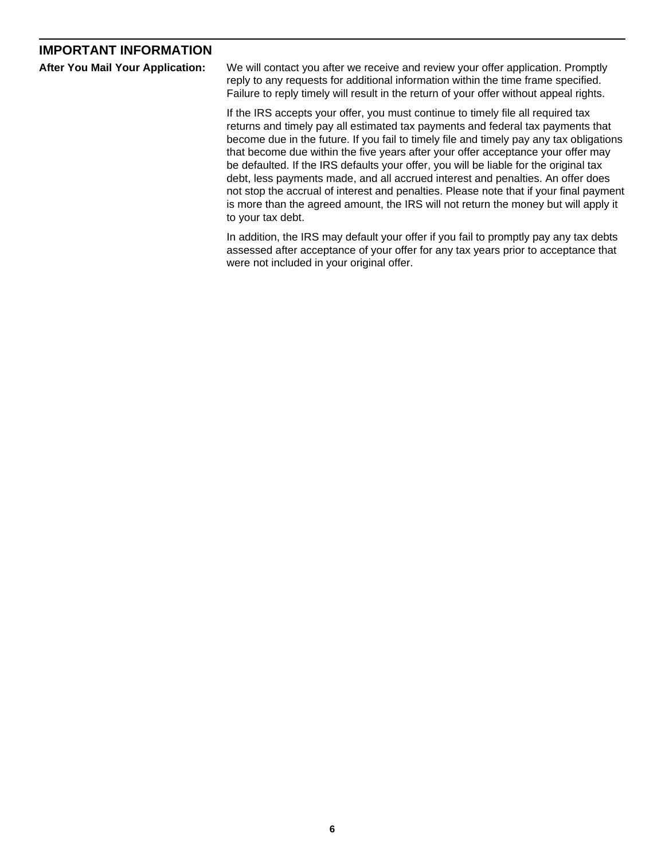# **IMPORTANT INFORMATION**

|  |  |  |  | <b>After You Mail Your Application:</b> |
|--|--|--|--|-----------------------------------------|
|--|--|--|--|-----------------------------------------|

We will contact you after we receive and review your offer application. Promptly reply to any requests for additional information within the time frame specified. Failure to reply timely will result in the return of your offer without appeal rights.

If the IRS accepts your offer, you must continue to timely file all required tax returns and timely pay all estimated tax payments and federal tax payments that become due in the future. If you fail to timely file and timely pay any tax obligations that become due within the five years after your offer acceptance your offer may be defaulted. If the IRS defaults your offer, you will be liable for the original tax debt, less payments made, and all accrued interest and penalties. An offer does not stop the accrual of interest and penalties. Please note that if your final payment is more than the agreed amount, the IRS will not return the money but will apply it to your tax debt.

In addition, the IRS may default your offer if you fail to promptly pay any tax debts assessed after acceptance of your offer for any tax years prior to acceptance that were not included in your original offer.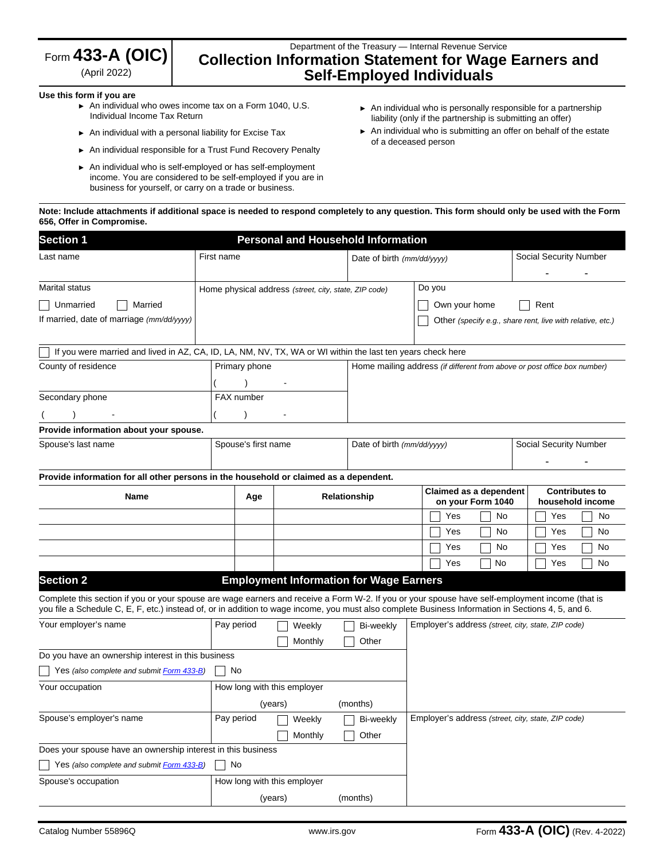| Form $433$ -A (OIC) |  |
|---------------------|--|
| $(0 - 1000)$        |  |

(April 2022)

# Department of the Treasury — Internal Revenue Service **Collection Information Statement for Wage Earners and Self-Employed Individuals**

## **Use this form if you are**

- ► An individual who owes income tax on a Form 1040, U.S. Individual Income Tax Return
- ► An individual with a personal liability for Excise Tax
- ► An individual responsible for a Trust Fund Recovery Penalty
- ► An individual who is self-employed or has self-employment income. You are considered to be self-employed if you are in business for yourself, or carry on a trade or business.
- ► An individual who is personally responsible for a partnership liability (only if the partnership is submitting an offer)
- ► An individual who is submitting an offer on behalf of the estate of a deceased person

#### **Note: Include attachments if additional space is needed to respond completely to any question. This form should only be used with the Form 656, Offer in Compromise.**

| <b>Section 1</b>                                                                                                                                                                                                                                                                                      |            | <b>Personal and Household Information</b>                                                                  |                             |                                                |                                                                          |                                                            |  |  |
|-------------------------------------------------------------------------------------------------------------------------------------------------------------------------------------------------------------------------------------------------------------------------------------------------------|------------|------------------------------------------------------------------------------------------------------------|-----------------------------|------------------------------------------------|--------------------------------------------------------------------------|------------------------------------------------------------|--|--|
| Last name                                                                                                                                                                                                                                                                                             | First name |                                                                                                            |                             | Date of birth (mm/dd/yyyy)                     |                                                                          | Social Security Number                                     |  |  |
| Marital status                                                                                                                                                                                                                                                                                        |            | Home physical address (street, city, state, ZIP code)                                                      |                             |                                                | Do you                                                                   |                                                            |  |  |
| Unmarried<br>Married                                                                                                                                                                                                                                                                                  |            |                                                                                                            |                             |                                                | Own your home                                                            | Rent                                                       |  |  |
| If married, date of marriage (mm/dd/yyyy)                                                                                                                                                                                                                                                             |            |                                                                                                            |                             |                                                |                                                                          | Other (specify e.g., share rent, live with relative, etc.) |  |  |
|                                                                                                                                                                                                                                                                                                       |            | If you were married and lived in AZ, CA, ID, LA, NM, NV, TX, WA or WI within the last ten years check here |                             |                                                |                                                                          |                                                            |  |  |
| County of residence                                                                                                                                                                                                                                                                                   |            | Primary phone                                                                                              |                             |                                                | Home mailing address (if different from above or post office box number) |                                                            |  |  |
|                                                                                                                                                                                                                                                                                                       |            |                                                                                                            |                             |                                                |                                                                          |                                                            |  |  |
| Secondary phone                                                                                                                                                                                                                                                                                       |            | FAX number                                                                                                 |                             |                                                |                                                                          |                                                            |  |  |
|                                                                                                                                                                                                                                                                                                       |            |                                                                                                            |                             |                                                |                                                                          |                                                            |  |  |
| Provide information about your spouse.                                                                                                                                                                                                                                                                |            |                                                                                                            |                             |                                                |                                                                          |                                                            |  |  |
| Spouse's last name                                                                                                                                                                                                                                                                                    |            | Spouse's first name                                                                                        |                             | Date of birth (mm/dd/yyyy)                     |                                                                          | <b>Social Security Number</b>                              |  |  |
|                                                                                                                                                                                                                                                                                                       |            |                                                                                                            |                             |                                                |                                                                          |                                                            |  |  |
| Provide information for all other persons in the household or claimed as a dependent.                                                                                                                                                                                                                 |            |                                                                                                            |                             |                                                |                                                                          |                                                            |  |  |
| Name                                                                                                                                                                                                                                                                                                  |            | Age                                                                                                        |                             | Relationship                                   | Claimed as a dependent<br>on your Form 1040                              | <b>Contributes to</b><br>household income                  |  |  |
|                                                                                                                                                                                                                                                                                                       |            |                                                                                                            |                             |                                                | Yes<br>No                                                                | Yes<br>No                                                  |  |  |
|                                                                                                                                                                                                                                                                                                       |            |                                                                                                            |                             |                                                | Yes<br>No                                                                | No<br>Yes                                                  |  |  |
|                                                                                                                                                                                                                                                                                                       |            |                                                                                                            |                             |                                                | No<br>Yes                                                                | No<br>Yes                                                  |  |  |
|                                                                                                                                                                                                                                                                                                       |            |                                                                                                            |                             |                                                | Yes<br>No                                                                | No<br>Yes                                                  |  |  |
| <b>Section 2</b>                                                                                                                                                                                                                                                                                      |            |                                                                                                            |                             | <b>Employment Information for Wage Earners</b> |                                                                          |                                                            |  |  |
| Complete this section if you or your spouse are wage earners and receive a Form W-2. If you or your spouse have self-employment income (that is<br>you file a Schedule C, E, F, etc.) instead of, or in addition to wage income, you must also complete Business Information in Sections 4, 5, and 6. |            |                                                                                                            |                             |                                                |                                                                          |                                                            |  |  |
| Your employer's name                                                                                                                                                                                                                                                                                  | Pay period |                                                                                                            | Weekly                      | Bi-weekly                                      | Employer's address (street, city, state, ZIP code)                       |                                                            |  |  |
|                                                                                                                                                                                                                                                                                                       |            |                                                                                                            | Monthly                     | Other                                          |                                                                          |                                                            |  |  |
| Do you have an ownership interest in this business                                                                                                                                                                                                                                                    |            |                                                                                                            |                             |                                                |                                                                          |                                                            |  |  |
| Yes (also complete and submit Form 433-B)                                                                                                                                                                                                                                                             | No         |                                                                                                            |                             |                                                |                                                                          |                                                            |  |  |
| Your occupation                                                                                                                                                                                                                                                                                       |            |                                                                                                            | How long with this employer |                                                |                                                                          |                                                            |  |  |
|                                                                                                                                                                                                                                                                                                       |            | (years)                                                                                                    |                             | (months)                                       |                                                                          |                                                            |  |  |
| Spouse's employer's name                                                                                                                                                                                                                                                                              | Pay period |                                                                                                            | Weekly                      | Bi-weekly                                      | Employer's address (street, city, state, ZIP code)                       |                                                            |  |  |
|                                                                                                                                                                                                                                                                                                       |            |                                                                                                            | Monthly                     | Other                                          |                                                                          |                                                            |  |  |
| Does your spouse have an ownership interest in this business                                                                                                                                                                                                                                          |            |                                                                                                            |                             |                                                |                                                                          |                                                            |  |  |
| Yes (also complete and submit Form 433-B)                                                                                                                                                                                                                                                             | No         |                                                                                                            |                             |                                                |                                                                          |                                                            |  |  |
| Spouse's occupation                                                                                                                                                                                                                                                                                   |            |                                                                                                            | How long with this employer |                                                |                                                                          |                                                            |  |  |
|                                                                                                                                                                                                                                                                                                       |            |                                                                                                            | (years)                     | (months)                                       |                                                                          |                                                            |  |  |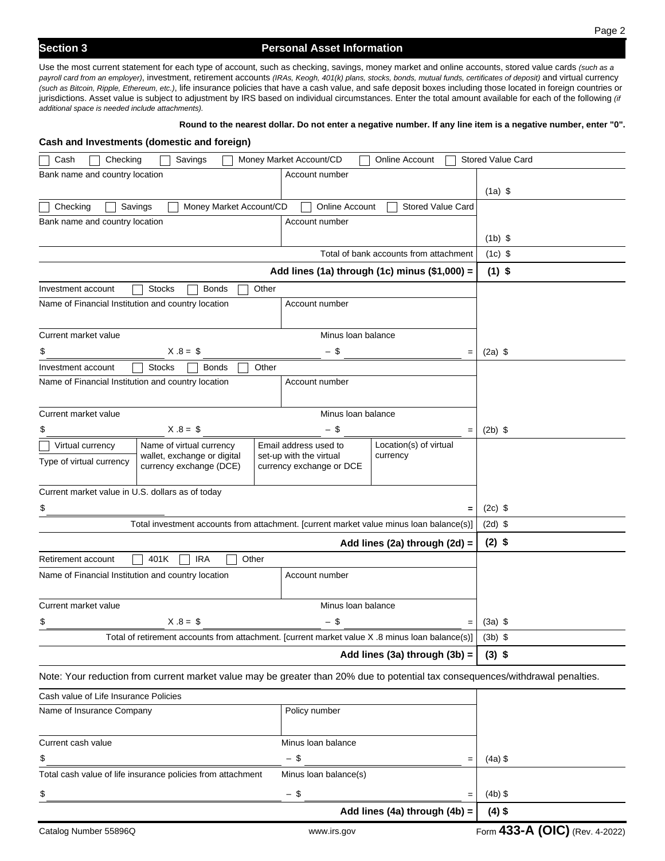# **Section 3 Personal Asset Information**

Use the most current statement for each type of account, such as checking, savings, money market and online accounts, stored value cards *(such as a payroll card from an employer)*, investment, retirement accounts *(IRAs, Keogh, 401(k) plans, stocks, bonds, mutual funds, certificates of deposit)* and virtual currency *(such as Bitcoin, Ripple, Ethereum, etc.)*, life insurance policies that have a cash value, and safe deposit boxes including those located in foreign countries or jurisdictions. Asset value is subject to adjustment by IRS based on individual circumstances. Enter the total amount available for each of the following *(if additional space is needed include attachments).* 

#### **Round to the nearest dollar. Do not enter a negative number. If any line item is a negative number, enter "0".**

| Cash and Investments (domestic and foreign)                                                                                    |                             |                          |                                                                                                 |                                |
|--------------------------------------------------------------------------------------------------------------------------------|-----------------------------|--------------------------|-------------------------------------------------------------------------------------------------|--------------------------------|
| Cash<br>Checking                                                                                                               | Savings                     | Money Market Account/CD  | Online Account                                                                                  | <b>Stored Value Card</b>       |
| Bank name and country location                                                                                                 |                             | Account number           |                                                                                                 |                                |
|                                                                                                                                | $(1a)$ \$                   |                          |                                                                                                 |                                |
| Checking<br>Savings                                                                                                            | Money Market Account/CD     | <b>Online Account</b>    | <b>Stored Value Card</b>                                                                        |                                |
| Bank name and country location                                                                                                 |                             | Account number           |                                                                                                 |                                |
|                                                                                                                                |                             |                          |                                                                                                 | $(1b)$ \$                      |
|                                                                                                                                |                             |                          | Total of bank accounts from attachment                                                          | $(1c)$ \$                      |
|                                                                                                                                |                             |                          | Add lines (1a) through (1c) minus $(\$1,000) =$                                                 | $(1)$ \$                       |
| <b>Stocks</b><br>Investment account                                                                                            | <b>Bonds</b><br>Other       |                          |                                                                                                 |                                |
| Name of Financial Institution and country location                                                                             |                             | Account number           |                                                                                                 |                                |
|                                                                                                                                |                             |                          |                                                                                                 |                                |
| Current market value                                                                                                           |                             | Minus Ioan balance       |                                                                                                 |                                |
| \$                                                                                                                             | $X.8 = $$                   | - \$                     | $=$                                                                                             | $(2a)$ \$                      |
| <b>Stocks</b><br>Investment account<br>Name of Financial Institution and country location                                      | <b>Bonds</b><br>Other       | Account number           |                                                                                                 |                                |
|                                                                                                                                |                             |                          |                                                                                                 |                                |
| Current market value                                                                                                           |                             | Minus Ioan balance       |                                                                                                 |                                |
| \$                                                                                                                             | $X.8 = $$                   | - \$                     | $=$                                                                                             | $(2b)$ \$                      |
| Virtual currency                                                                                                               | Name of virtual currency    | Email address used to    | Location(s) of virtual                                                                          |                                |
| Type of virtual currency                                                                                                       | wallet, exchange or digital | set-up with the virtual  | currency                                                                                        |                                |
|                                                                                                                                | currency exchange (DCE)     | currency exchange or DCE |                                                                                                 |                                |
| Current market value in U.S. dollars as of today                                                                               |                             |                          |                                                                                                 |                                |
| \$                                                                                                                             |                             |                          | $=$                                                                                             | $(2c)$ \$                      |
|                                                                                                                                |                             |                          | Total investment accounts from attachment. [current market value minus loan balance(s)]         | $(2d)$ \$                      |
|                                                                                                                                |                             |                          | Add lines (2a) through (2d) =                                                                   | $(2)$ \$                       |
| Retirement account<br>401K                                                                                                     | <b>IRA</b><br>Other         |                          |                                                                                                 |                                |
| Name of Financial Institution and country location                                                                             |                             | Account number           |                                                                                                 |                                |
|                                                                                                                                |                             |                          |                                                                                                 |                                |
| Current market value                                                                                                           |                             | Minus Ioan balance       |                                                                                                 |                                |
| \$                                                                                                                             | $X.8 = $$                   | - \$                     | $=$                                                                                             | $(3a)$ \$                      |
|                                                                                                                                |                             |                          | Total of retirement accounts from attachment. [current market value X .8 minus loan balance(s)] | $(3b)$ \$                      |
|                                                                                                                                |                             |                          | Add lines (3a) through $(3b) =$                                                                 | $(3)$ \$                       |
| Note: Your reduction from current market value may be greater than 20% due to potential tax consequences/withdrawal penalties. |                             |                          |                                                                                                 |                                |
| Cash value of Life Insurance Policies                                                                                          |                             |                          |                                                                                                 |                                |
| Name of Insurance Company                                                                                                      |                             | Policy number            |                                                                                                 |                                |
|                                                                                                                                |                             |                          |                                                                                                 |                                |
| Current cash value                                                                                                             |                             | Minus Ioan balance       |                                                                                                 |                                |
| \$                                                                                                                             |                             | $-$ \$                   | $=$                                                                                             | $(4a)$ \$                      |
| Total cash value of life insurance policies from attachment                                                                    |                             | Minus Ioan balance(s)    |                                                                                                 |                                |
| \$                                                                                                                             |                             | $-$ \$                   | $=$                                                                                             | $(4b)$ \$                      |
|                                                                                                                                |                             |                          | Add lines (4a) through (4b) =                                                                   | $(4)$ \$                       |
| Catalog Number 55896Q                                                                                                          |                             | www.irs.gov              |                                                                                                 | Form 433-A (OIC) (Rev. 4-2022) |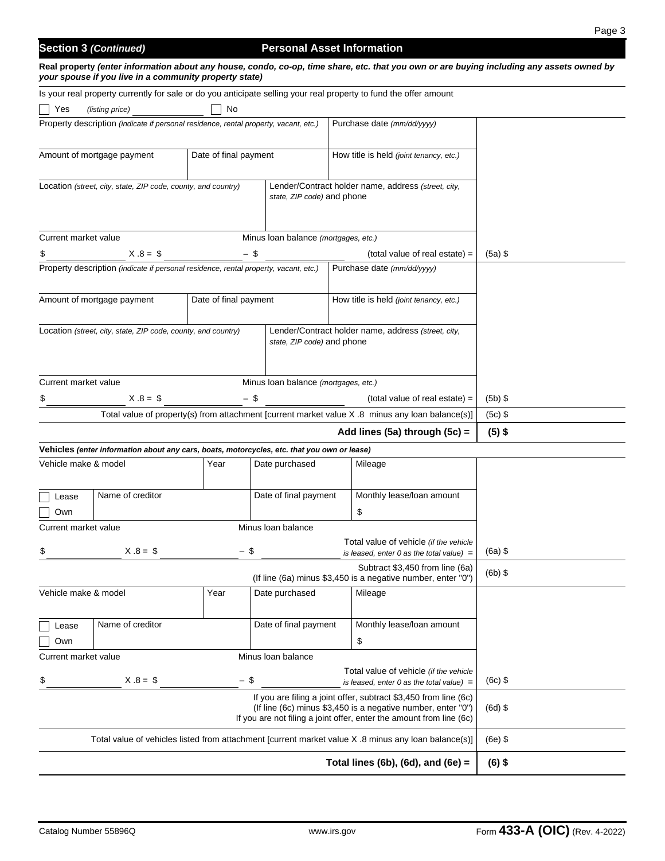# **Section 3 (Continued) Personal Asset Information**

| Real property (enter information about any house, condo, co-op, time share, etc. that you own or are buying including any assets owned by |
|-------------------------------------------------------------------------------------------------------------------------------------------|
| your spouse if you live in a community property state)                                                                                    |

| Is your real property currently for sale or do you anticipate selling your real property to fund the offer amount |                                                                                             |                       |                                                                                      |  |                                                                                                                                      |           |
|-------------------------------------------------------------------------------------------------------------------|---------------------------------------------------------------------------------------------|-----------------------|--------------------------------------------------------------------------------------|--|--------------------------------------------------------------------------------------------------------------------------------------|-----------|
| No<br>Yes<br>(listing price)                                                                                      |                                                                                             |                       |                                                                                      |  |                                                                                                                                      |           |
|                                                                                                                   |                                                                                             |                       | Property description (indicate if personal residence, rental property, vacant, etc.) |  | Purchase date (mm/dd/yyyy)                                                                                                           |           |
|                                                                                                                   |                                                                                             |                       |                                                                                      |  |                                                                                                                                      |           |
|                                                                                                                   | Amount of mortgage payment                                                                  | Date of final payment |                                                                                      |  | How title is held (joint tenancy, etc.)                                                                                              |           |
|                                                                                                                   |                                                                                             |                       |                                                                                      |  |                                                                                                                                      |           |
|                                                                                                                   | Location (street, city, state, ZIP code, county, and country)                               |                       | state, ZIP code) and phone                                                           |  | Lender/Contract holder name, address (street, city,                                                                                  |           |
|                                                                                                                   |                                                                                             |                       |                                                                                      |  |                                                                                                                                      |           |
|                                                                                                                   |                                                                                             |                       |                                                                                      |  |                                                                                                                                      |           |
| Current market value                                                                                              |                                                                                             |                       | Minus Ioan balance (mortgages, etc.)                                                 |  |                                                                                                                                      |           |
|                                                                                                                   | $X.8 = $$                                                                                   | - \$                  |                                                                                      |  | (total value of real estate) =                                                                                                       | $(5a)$ \$ |
|                                                                                                                   | Property description (indicate if personal residence, rental property, vacant, etc.)        |                       |                                                                                      |  | Purchase date (mm/dd/yyyy)                                                                                                           |           |
|                                                                                                                   |                                                                                             |                       |                                                                                      |  |                                                                                                                                      |           |
|                                                                                                                   | Amount of mortgage payment                                                                  | Date of final payment |                                                                                      |  | How title is held (joint tenancy, etc.)                                                                                              |           |
|                                                                                                                   |                                                                                             |                       |                                                                                      |  |                                                                                                                                      |           |
|                                                                                                                   | Location (street, city, state, ZIP code, county, and country)                               |                       | state, ZIP code) and phone                                                           |  | Lender/Contract holder name, address (street, city,                                                                                  |           |
|                                                                                                                   |                                                                                             |                       |                                                                                      |  |                                                                                                                                      |           |
|                                                                                                                   |                                                                                             |                       |                                                                                      |  |                                                                                                                                      |           |
| Current market value                                                                                              |                                                                                             |                       | Minus Ioan balance (mortgages, etc.)                                                 |  |                                                                                                                                      |           |
|                                                                                                                   | $X.8 = $$                                                                                   | $-$ \$                |                                                                                      |  | (total value of real estate) =                                                                                                       | $(5b)$ \$ |
|                                                                                                                   |                                                                                             |                       |                                                                                      |  | Total value of property(s) from attachment [current market value X .8 minus any loan balance(s)]                                     | $(5c)$ \$ |
|                                                                                                                   |                                                                                             |                       |                                                                                      |  | Add lines (5a) through (5c) =                                                                                                        | $(5)$ \$  |
|                                                                                                                   | Vehicles (enter information about any cars, boats, motorcycles, etc. that you own or lease) |                       |                                                                                      |  |                                                                                                                                      |           |
| Vehicle make & model                                                                                              |                                                                                             | Year                  | Date purchased                                                                       |  | Mileage                                                                                                                              |           |
|                                                                                                                   |                                                                                             |                       |                                                                                      |  |                                                                                                                                      |           |
| Lease                                                                                                             | Name of creditor                                                                            |                       | Date of final payment                                                                |  | Monthly lease/loan amount                                                                                                            |           |
| Own                                                                                                               |                                                                                             |                       |                                                                                      |  | \$                                                                                                                                   |           |
| Current market value                                                                                              |                                                                                             |                       | Minus Ioan balance                                                                   |  |                                                                                                                                      |           |
|                                                                                                                   | $X.8 = $$                                                                                   | $-$ \$                |                                                                                      |  | Total value of vehicle (if the vehicle<br>is leased, enter 0 as the total value) $=$                                                 | $(6a)$ \$ |
|                                                                                                                   |                                                                                             |                       |                                                                                      |  | Subtract \$3,450 from line (6a)                                                                                                      |           |
|                                                                                                                   |                                                                                             |                       |                                                                                      |  | (If line (6a) minus \$3,450 is a negative number, enter "0")                                                                         | $(6b)$ \$ |
| Vehicle make & model                                                                                              |                                                                                             | Year                  | Date purchased                                                                       |  | Mileage                                                                                                                              |           |
|                                                                                                                   |                                                                                             |                       |                                                                                      |  |                                                                                                                                      |           |
| Lease                                                                                                             | Name of creditor                                                                            |                       | Date of final payment                                                                |  | Monthly lease/loan amount                                                                                                            |           |
| Own                                                                                                               |                                                                                             |                       |                                                                                      |  | \$                                                                                                                                   |           |
| Current market value                                                                                              |                                                                                             |                       |                                                                                      |  |                                                                                                                                      |           |
|                                                                                                                   | $X.8 = $$                                                                                   | $-$ \$                |                                                                                      |  | Total value of vehicle (if the vehicle<br>is leased, enter 0 as the total value) $=$                                                 | $(6c)$ \$ |
|                                                                                                                   |                                                                                             |                       |                                                                                      |  | If you are filing a joint offer, subtract \$3,450 from line (6c)                                                                     |           |
|                                                                                                                   |                                                                                             |                       |                                                                                      |  | (If line (6c) minus \$3,450 is a negative number, enter "0")<br>If you are not filing a joint offer, enter the amount from line (6c) | $(6d)$ \$ |
| Total value of vehicles listed from attachment [current market value X .8 minus any loan balance(s)]              |                                                                                             |                       |                                                                                      |  |                                                                                                                                      | $(6e)$ \$ |
| Total lines (6b), (6d), and (6e) $=$                                                                              |                                                                                             |                       |                                                                                      |  |                                                                                                                                      | $(6)$ \$  |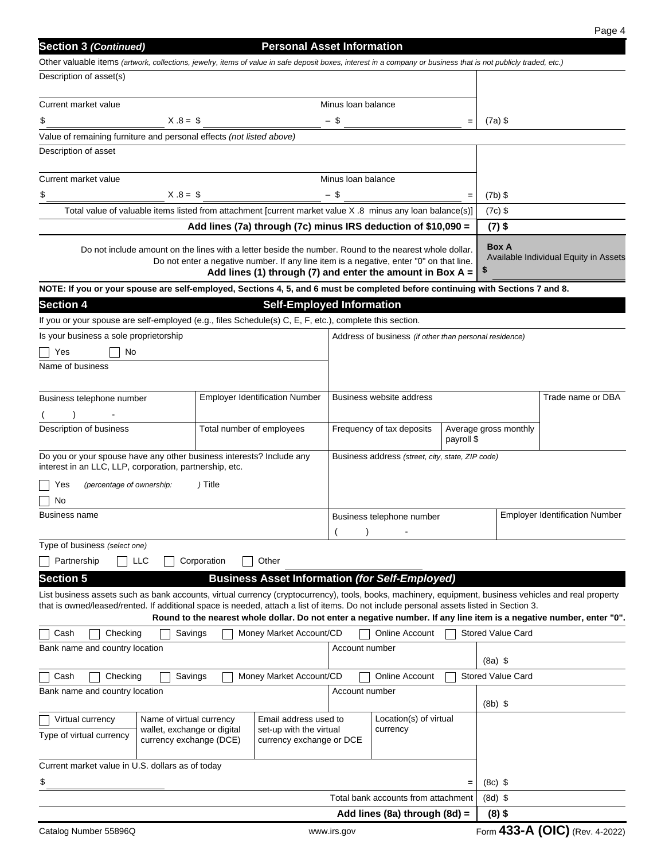| <b>Section 3 (Continued)</b>                                                                                                                                                                                                                                                                      |                           | <b>Personal Asset Information</b>                                                                                                                      |                                                  |                                                        |                   |                          |                                                                                                                      |
|---------------------------------------------------------------------------------------------------------------------------------------------------------------------------------------------------------------------------------------------------------------------------------------------------|---------------------------|--------------------------------------------------------------------------------------------------------------------------------------------------------|--------------------------------------------------|--------------------------------------------------------|-------------------|--------------------------|----------------------------------------------------------------------------------------------------------------------|
| Other valuable items (artwork, collections, jewelry, items of value in safe deposit boxes, interest in a company or business that is not publicly traded, etc.)                                                                                                                                   |                           |                                                                                                                                                        |                                                  |                                                        |                   |                          |                                                                                                                      |
| Description of asset(s)                                                                                                                                                                                                                                                                           |                           |                                                                                                                                                        |                                                  |                                                        |                   |                          |                                                                                                                      |
| Current market value                                                                                                                                                                                                                                                                              |                           |                                                                                                                                                        | Minus Ioan balance                               |                                                        |                   |                          |                                                                                                                      |
| $X.8 = $$<br>\$                                                                                                                                                                                                                                                                                   |                           |                                                                                                                                                        | - \$                                             |                                                        | $=$               | $(7a)$ \$                |                                                                                                                      |
| Value of remaining furniture and personal effects (not listed above)                                                                                                                                                                                                                              |                           |                                                                                                                                                        |                                                  |                                                        |                   |                          |                                                                                                                      |
| Description of asset                                                                                                                                                                                                                                                                              |                           |                                                                                                                                                        |                                                  |                                                        |                   |                          |                                                                                                                      |
|                                                                                                                                                                                                                                                                                                   |                           |                                                                                                                                                        |                                                  |                                                        |                   |                          |                                                                                                                      |
| Current market value                                                                                                                                                                                                                                                                              |                           |                                                                                                                                                        | Minus Ioan balance                               |                                                        |                   |                          |                                                                                                                      |
| $X.8 = $$<br>\$                                                                                                                                                                                                                                                                                   |                           |                                                                                                                                                        | - \$                                             |                                                        | $=$               | $(7b)$ \$                |                                                                                                                      |
| Total value of valuable items listed from attachment [current market value X .8 minus any loan balance(s)]                                                                                                                                                                                        |                           |                                                                                                                                                        |                                                  |                                                        |                   | $(7c)$ \$                |                                                                                                                      |
|                                                                                                                                                                                                                                                                                                   |                           | Add lines (7a) through (7c) minus IRS deduction of \$10,090 =                                                                                          |                                                  |                                                        |                   | $(7)$ \$                 |                                                                                                                      |
| Do not include amount on the lines with a letter beside the number. Round to the nearest whole dollar.                                                                                                                                                                                            |                           | Do not enter a negative number. If any line item is a negative, enter "0" on that line.<br>Add lines (1) through (7) and enter the amount in Box $A =$ |                                                  |                                                        |                   | <b>Box A</b><br>\$       | Available Individual Equity in Assets                                                                                |
| NOTE: If you or your spouse are self-employed, Sections 4, 5, and 6 must be completed before continuing with Sections 7 and 8.                                                                                                                                                                    |                           |                                                                                                                                                        |                                                  |                                                        |                   |                          |                                                                                                                      |
| <b>Section 4</b>                                                                                                                                                                                                                                                                                  |                           | <b>Self-Employed Information</b>                                                                                                                       |                                                  |                                                        |                   |                          |                                                                                                                      |
| If you or your spouse are self-employed (e.g., files Schedule(s) C, E, F, etc.), complete this section.                                                                                                                                                                                           |                           |                                                                                                                                                        |                                                  |                                                        |                   |                          |                                                                                                                      |
| Is your business a sole proprietorship                                                                                                                                                                                                                                                            |                           |                                                                                                                                                        |                                                  | Address of business (if other than personal residence) |                   |                          |                                                                                                                      |
| No<br>Yes                                                                                                                                                                                                                                                                                         |                           |                                                                                                                                                        |                                                  |                                                        |                   |                          |                                                                                                                      |
| Name of business                                                                                                                                                                                                                                                                                  |                           |                                                                                                                                                        |                                                  |                                                        |                   |                          |                                                                                                                      |
|                                                                                                                                                                                                                                                                                                   |                           |                                                                                                                                                        |                                                  |                                                        |                   |                          |                                                                                                                      |
| Business telephone number                                                                                                                                                                                                                                                                         |                           | <b>Employer Identification Number</b>                                                                                                                  |                                                  | <b>Business website address</b>                        |                   |                          | Trade name or DBA                                                                                                    |
|                                                                                                                                                                                                                                                                                                   |                           |                                                                                                                                                        |                                                  |                                                        |                   |                          |                                                                                                                      |
| Description of business                                                                                                                                                                                                                                                                           | Total number of employees |                                                                                                                                                        |                                                  | Frequency of tax deposits                              | payroll \$        | Average gross monthly    |                                                                                                                      |
| Do you or your spouse have any other business interests? Include any<br>interest in an LLC, LLP, corporation, partnership, etc.                                                                                                                                                                   |                           |                                                                                                                                                        | Business address (street, city, state, ZIP code) |                                                        |                   |                          |                                                                                                                      |
| (percentage of ownership:<br>Yes                                                                                                                                                                                                                                                                  | ) Title                   |                                                                                                                                                        |                                                  |                                                        |                   |                          |                                                                                                                      |
| No                                                                                                                                                                                                                                                                                                |                           |                                                                                                                                                        |                                                  |                                                        |                   |                          |                                                                                                                      |
| Business name                                                                                                                                                                                                                                                                                     |                           |                                                                                                                                                        | Business telephone number                        |                                                        |                   |                          | <b>Employer Identification Number</b>                                                                                |
|                                                                                                                                                                                                                                                                                                   |                           |                                                                                                                                                        |                                                  |                                                        |                   |                          |                                                                                                                      |
| Type of business (select one)<br><b>LLC</b>                                                                                                                                                                                                                                                       |                           |                                                                                                                                                        |                                                  |                                                        |                   |                          |                                                                                                                      |
| Partnership                                                                                                                                                                                                                                                                                       | Corporation               | Other                                                                                                                                                  |                                                  |                                                        |                   |                          |                                                                                                                      |
| <b>Section 5</b>                                                                                                                                                                                                                                                                                  |                           | <b>Business Asset Information (for Self-Employed)</b>                                                                                                  |                                                  |                                                        |                   |                          |                                                                                                                      |
| List business assets such as bank accounts, virtual currency (cryptocurrency), tools, books, machinery, equipment, business vehicles and real property<br>that is owned/leased/rented. If additional space is needed, attach a list of items. Do not include personal assets listed in Section 3. |                           |                                                                                                                                                        |                                                  |                                                        |                   |                          |                                                                                                                      |
|                                                                                                                                                                                                                                                                                                   |                           |                                                                                                                                                        |                                                  |                                                        |                   |                          | Round to the nearest whole dollar. Do not enter a negative number. If any line item is a negative number, enter "0". |
| Cash<br>Checking<br>Savings                                                                                                                                                                                                                                                                       |                           | Money Market Account/CD                                                                                                                                |                                                  | Online Account                                         |                   | <b>Stored Value Card</b> |                                                                                                                      |
| Bank name and country location                                                                                                                                                                                                                                                                    |                           |                                                                                                                                                        | Account number                                   |                                                        |                   |                          |                                                                                                                      |
|                                                                                                                                                                                                                                                                                                   |                           |                                                                                                                                                        |                                                  |                                                        |                   | $(8a)$ \$                |                                                                                                                      |
| Cash<br>Checking<br>Savings<br>Bank name and country location                                                                                                                                                                                                                                     |                           | Money Market Account/CD                                                                                                                                | Account number                                   | <b>Online Account</b>                                  |                   | <b>Stored Value Card</b> |                                                                                                                      |
|                                                                                                                                                                                                                                                                                                   |                           |                                                                                                                                                        |                                                  |                                                        |                   | $(8b)$ \$                |                                                                                                                      |
| Name of virtual currency<br>Virtual currency                                                                                                                                                                                                                                                      |                           | Email address used to                                                                                                                                  |                                                  | Location(s) of virtual                                 |                   |                          |                                                                                                                      |
| wallet, exchange or digital<br>Type of virtual currency<br>currency exchange (DCE)                                                                                                                                                                                                                |                           | set-up with the virtual<br>currency exchange or DCE                                                                                                    |                                                  | currency                                               |                   |                          |                                                                                                                      |
|                                                                                                                                                                                                                                                                                                   |                           |                                                                                                                                                        |                                                  |                                                        |                   |                          |                                                                                                                      |
| Current market value in U.S. dollars as of today                                                                                                                                                                                                                                                  |                           |                                                                                                                                                        |                                                  |                                                        |                   |                          |                                                                                                                      |
| \$                                                                                                                                                                                                                                                                                                |                           |                                                                                                                                                        |                                                  |                                                        | $\qquad \qquad =$ | $(8c)$ \$                |                                                                                                                      |
|                                                                                                                                                                                                                                                                                                   |                           |                                                                                                                                                        |                                                  | Total bank accounts from attachment                    |                   | $(8d)$ \$                |                                                                                                                      |
|                                                                                                                                                                                                                                                                                                   |                           |                                                                                                                                                        |                                                  | Add lines (8a) through (8d) =                          |                   | $(8)$ \$                 |                                                                                                                      |
| Catalog Number 55896Q                                                                                                                                                                                                                                                                             |                           |                                                                                                                                                        | www.irs.gov                                      |                                                        |                   |                          | Form 433-A (OIC) (Rev. 4-2022)                                                                                       |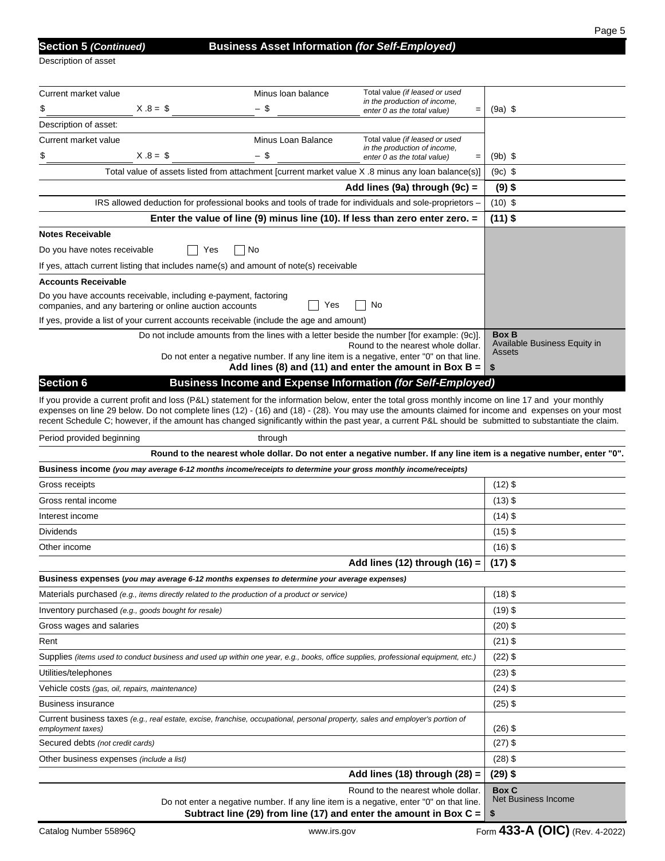| <b>Section 5 (Continue</b> |  |  |  |
|----------------------------|--|--|--|
|                            |  |  |  |

Description of asset

| Current market value                                                                                                                                                                                                                                                                                                                                                                                                                                                 | Minus Ioan balance | Total value (if leased or used<br>in the production of income,                                                                                            |                                                                                                                      |
|----------------------------------------------------------------------------------------------------------------------------------------------------------------------------------------------------------------------------------------------------------------------------------------------------------------------------------------------------------------------------------------------------------------------------------------------------------------------|--------------------|-----------------------------------------------------------------------------------------------------------------------------------------------------------|----------------------------------------------------------------------------------------------------------------------|
| $X.8 = $$<br>\$                                                                                                                                                                                                                                                                                                                                                                                                                                                      | - \$               | enter 0 as the total value)<br>$=$                                                                                                                        | $(9a)$ \$                                                                                                            |
| Description of asset:                                                                                                                                                                                                                                                                                                                                                                                                                                                |                    |                                                                                                                                                           |                                                                                                                      |
| Current market value                                                                                                                                                                                                                                                                                                                                                                                                                                                 | Minus Loan Balance | Total value (if leased or used<br>in the production of income,                                                                                            |                                                                                                                      |
| $X.8 = $$<br>\$                                                                                                                                                                                                                                                                                                                                                                                                                                                      | - \$               | enter 0 as the total value)                                                                                                                               | $(9b)$ \$                                                                                                            |
| Total value of assets listed from attachment [current market value X .8 minus any loan balance(s)]                                                                                                                                                                                                                                                                                                                                                                   |                    |                                                                                                                                                           | $(9c)$ \$                                                                                                            |
|                                                                                                                                                                                                                                                                                                                                                                                                                                                                      |                    | Add lines (9a) through (9c) =                                                                                                                             | $(9)$ \$                                                                                                             |
| IRS allowed deduction for professional books and tools of trade for individuals and sole-proprietors -                                                                                                                                                                                                                                                                                                                                                               |                    |                                                                                                                                                           | $(10)$ \$                                                                                                            |
|                                                                                                                                                                                                                                                                                                                                                                                                                                                                      |                    | Enter the value of line (9) minus line (10). If less than zero enter zero. $=$                                                                            | $(11)$ \$                                                                                                            |
| <b>Notes Receivable</b>                                                                                                                                                                                                                                                                                                                                                                                                                                              |                    |                                                                                                                                                           |                                                                                                                      |
| Do you have notes receivable<br>Yes                                                                                                                                                                                                                                                                                                                                                                                                                                  | No                 |                                                                                                                                                           |                                                                                                                      |
| If yes, attach current listing that includes name(s) and amount of note(s) receivable                                                                                                                                                                                                                                                                                                                                                                                |                    |                                                                                                                                                           |                                                                                                                      |
| Accounts Receivable                                                                                                                                                                                                                                                                                                                                                                                                                                                  |                    |                                                                                                                                                           |                                                                                                                      |
| Do you have accounts receivable, including e-payment, factoring                                                                                                                                                                                                                                                                                                                                                                                                      | Yes                | No                                                                                                                                                        |                                                                                                                      |
| companies, and any bartering or online auction accounts<br>If yes, provide a list of your current accounts receivable (include the age and amount)                                                                                                                                                                                                                                                                                                                   |                    |                                                                                                                                                           |                                                                                                                      |
|                                                                                                                                                                                                                                                                                                                                                                                                                                                                      |                    | Do not include amounts from the lines with a letter beside the number [for example: (9c)].                                                                | <b>Box B</b>                                                                                                         |
|                                                                                                                                                                                                                                                                                                                                                                                                                                                                      |                    | Round to the nearest whole dollar.                                                                                                                        | Available Business Equity in                                                                                         |
|                                                                                                                                                                                                                                                                                                                                                                                                                                                                      |                    | Do not enter a negative number. If any line item is a negative, enter "0" on that line.<br>Add lines (8) and (11) and enter the amount in Box B = $\vert$ | Assets<br>-\$                                                                                                        |
| <b>Section 6</b>                                                                                                                                                                                                                                                                                                                                                                                                                                                     |                    | <b>Business Income and Expense Information (for Self-Employed)</b>                                                                                        |                                                                                                                      |
|                                                                                                                                                                                                                                                                                                                                                                                                                                                                      |                    |                                                                                                                                                           |                                                                                                                      |
| If you provide a current profit and loss (P&L) statement for the information below, enter the total gross monthly income on line 17 and your monthly<br>expenses on line 29 below. Do not complete lines (12) - (16) and (18) - (28). You may use the amounts claimed for income and expenses on your most<br>recent Schedule C; however, if the amount has changed significantly within the past year, a current P&L should be submitted to substantiate the claim. |                    |                                                                                                                                                           |                                                                                                                      |
| Period provided beginning                                                                                                                                                                                                                                                                                                                                                                                                                                            | through            |                                                                                                                                                           |                                                                                                                      |
|                                                                                                                                                                                                                                                                                                                                                                                                                                                                      |                    |                                                                                                                                                           | Round to the nearest whole dollar. Do not enter a negative number. If any line item is a negative number, enter "0". |
| Business income (you may average 6-12 months income/receipts to determine your gross monthly income/receipts)                                                                                                                                                                                                                                                                                                                                                        |                    |                                                                                                                                                           |                                                                                                                      |
| Gross receipts                                                                                                                                                                                                                                                                                                                                                                                                                                                       |                    |                                                                                                                                                           | $(12)$ \$                                                                                                            |
| Gross rental income                                                                                                                                                                                                                                                                                                                                                                                                                                                  |                    |                                                                                                                                                           | $(13)$ \$                                                                                                            |
| Interest income                                                                                                                                                                                                                                                                                                                                                                                                                                                      |                    |                                                                                                                                                           | $(14)$ \$                                                                                                            |
| Dividends                                                                                                                                                                                                                                                                                                                                                                                                                                                            |                    |                                                                                                                                                           | $(15)$ \$                                                                                                            |
| Other income                                                                                                                                                                                                                                                                                                                                                                                                                                                         |                    |                                                                                                                                                           | $(16)$ \$                                                                                                            |
|                                                                                                                                                                                                                                                                                                                                                                                                                                                                      |                    | Add lines (12) through (16) =                                                                                                                             | $(17)$ \$                                                                                                            |
| Business expenses (you may average 6-12 months expenses to determine your average expenses)                                                                                                                                                                                                                                                                                                                                                                          |                    |                                                                                                                                                           |                                                                                                                      |
| Materials purchased (e.g., items directly related to the production of a product or service)                                                                                                                                                                                                                                                                                                                                                                         |                    |                                                                                                                                                           | $(18)$ \$                                                                                                            |
| Inventory purchased (e.g., goods bought for resale)                                                                                                                                                                                                                                                                                                                                                                                                                  |                    |                                                                                                                                                           | $(19)$ \$                                                                                                            |
| Gross wages and salaries                                                                                                                                                                                                                                                                                                                                                                                                                                             |                    |                                                                                                                                                           | $(20)$ \$                                                                                                            |
| Rent                                                                                                                                                                                                                                                                                                                                                                                                                                                                 |                    |                                                                                                                                                           | $(21)$ \$                                                                                                            |
| Supplies (items used to conduct business and used up within one year, e.g., books, office supplies, professional equipment, etc.)                                                                                                                                                                                                                                                                                                                                    |                    |                                                                                                                                                           | $(22)$ \$                                                                                                            |
| Utilities/telephones                                                                                                                                                                                                                                                                                                                                                                                                                                                 |                    |                                                                                                                                                           | $(23)$ \$                                                                                                            |
| Vehicle costs (gas, oil, repairs, maintenance)                                                                                                                                                                                                                                                                                                                                                                                                                       |                    |                                                                                                                                                           | $(24)$ \$                                                                                                            |
| Business insurance                                                                                                                                                                                                                                                                                                                                                                                                                                                   |                    |                                                                                                                                                           | $(25)$ \$                                                                                                            |
| Current business taxes (e.g., real estate, excise, franchise, occupational, personal property, sales and employer's portion of<br>employment taxes)                                                                                                                                                                                                                                                                                                                  |                    |                                                                                                                                                           | $(26)$ \$                                                                                                            |
| Secured debts (not credit cards)                                                                                                                                                                                                                                                                                                                                                                                                                                     |                    |                                                                                                                                                           | $(27)$ \$                                                                                                            |
| Other business expenses (include a list)                                                                                                                                                                                                                                                                                                                                                                                                                             |                    |                                                                                                                                                           | $(28)$ \$                                                                                                            |
|                                                                                                                                                                                                                                                                                                                                                                                                                                                                      |                    | Add lines (18) through $(28)$ =                                                                                                                           | $(29)$ \$                                                                                                            |
|                                                                                                                                                                                                                                                                                                                                                                                                                                                                      |                    | Round to the nearest whole dollar.<br>Do not enter a negative number. If any line item is a negative, enter "0" on that line.                             | <b>Box C</b><br>Net Business Income                                                                                  |

**Subtract line (29) from line (17) and enter the amount in Box C = \$**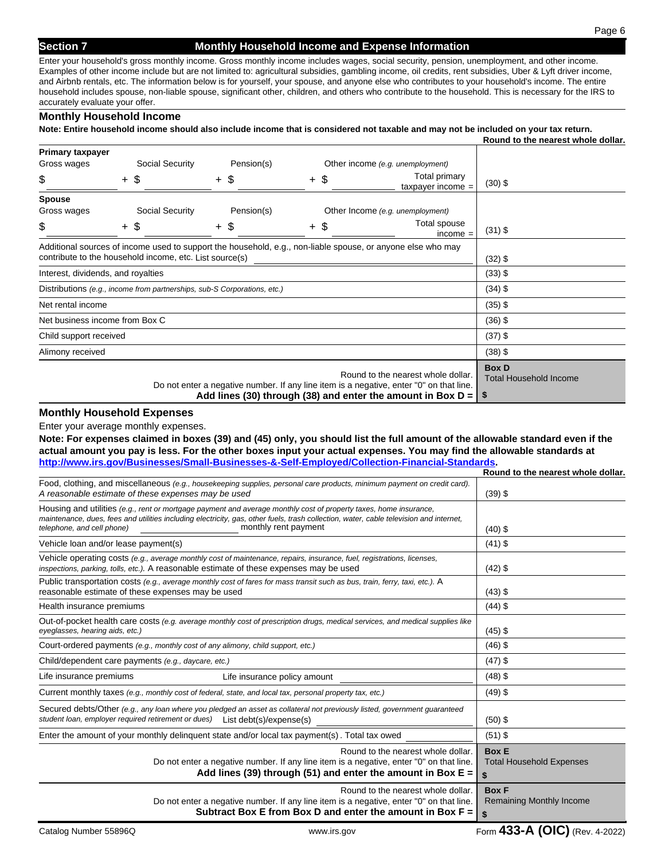#### **Section 7 Monthly Household Income and Expense Information**

Page 6

Enter your household's gross monthly income. Gross monthly income includes wages, social security, pension, unemployment, and other income. Examples of other income include but are not limited to: agricultural subsidies, gambling income, oil credits, rent subsidies, Uber & Lyft driver income, and Airbnb rentals, etc. The information below is for yourself, your spouse, and anyone else who contributes to your household's income. The entire household includes spouse, non-liable spouse, significant other, children, and others who contribute to the household. This is necessary for the IRS to accurately evaluate your offer.

#### **Monthly Household Income**

**Note: Entire household income should also include income that is considered not taxable and may not be included on your tax return.** 

|                                    |  |                                                                          |  |            |        |  |                                                                                                                                                                                                | Round to the nearest whole dollar.                    |
|------------------------------------|--|--------------------------------------------------------------------------|--|------------|--------|--|------------------------------------------------------------------------------------------------------------------------------------------------------------------------------------------------|-------------------------------------------------------|
| <b>Primary taxpayer</b>            |  |                                                                          |  |            |        |  |                                                                                                                                                                                                |                                                       |
| Gross wages                        |  | Social Security                                                          |  | Pension(s) |        |  | Other income (e.g. unemployment)                                                                                                                                                               |                                                       |
| \$                                 |  | $+$ \$                                                                   |  | $+$ \$     | $+$ \$ |  | <b>Total primary</b><br>$t$ axpayer income =                                                                                                                                                   | $(30)$ \$                                             |
| <b>Spouse</b>                      |  |                                                                          |  |            |        |  |                                                                                                                                                                                                |                                                       |
| Gross wages                        |  | Social Security                                                          |  | Pension(s) |        |  | Other Income (e.g. unemployment)                                                                                                                                                               |                                                       |
| \$                                 |  | $+$ \$                                                                   |  | $+$ \$     | $+$ \$ |  | Total spouse<br>$income =$                                                                                                                                                                     | $(31)$ \$                                             |
|                                    |  |                                                                          |  |            |        |  | Additional sources of income used to support the household, e.g., non-liable spouse, or anyone else who may                                                                                    |                                                       |
|                                    |  | contribute to the household income, etc. List source(s)                  |  |            |        |  |                                                                                                                                                                                                | $(32)$ \$                                             |
| Interest, dividends, and royalties |  |                                                                          |  |            |        |  |                                                                                                                                                                                                | $(33)$ \$                                             |
|                                    |  | Distributions (e.g., income from partnerships, sub-S Corporations, etc.) |  |            |        |  |                                                                                                                                                                                                | $(34)$ \$                                             |
| Net rental income                  |  |                                                                          |  |            |        |  |                                                                                                                                                                                                | $(35)$ \$                                             |
| Net business income from Box C     |  |                                                                          |  |            |        |  |                                                                                                                                                                                                | $(36)$ \$                                             |
| Child support received             |  |                                                                          |  |            |        |  | $(37)$ \$                                                                                                                                                                                      |                                                       |
| Alimony received                   |  |                                                                          |  |            |        |  |                                                                                                                                                                                                | $(38)$ \$                                             |
|                                    |  |                                                                          |  |            |        |  | Round to the nearest whole dollar.<br>Do not enter a negative number. If any line item is a negative, enter "0" on that line.<br>Add lines (30) through (38) and enter the amount in Box $D =$ | <b>Box D</b><br><b>Total Household Income</b><br>- \$ |

#### **Monthly Household Expenses**

Enter your average monthly expenses.

**Note: For expenses claimed in boxes (39) and (45) only, you should list the full amount of the allowable standard even if the actual amount you pay is less. For the other boxes input your actual expenses. You may find the allowable standards at http://www.irs.gov/Businesses/Small-Businesses-&-Self-Employed/Collection-Financial-Standards.**

|                                                                                                                                                                                                                                                                                                                   | Round to the nearest whole dollar.                    |
|-------------------------------------------------------------------------------------------------------------------------------------------------------------------------------------------------------------------------------------------------------------------------------------------------------------------|-------------------------------------------------------|
| Food, clothing, and miscellaneous (e.g., housekeeping supplies, personal care products, minimum payment on credit card).<br>A reasonable estimate of these expenses may be used                                                                                                                                   | $(39)$ \$                                             |
| Housing and utilities (e.g., rent or mortgage payment and average monthly cost of property taxes, home insurance,<br>maintenance, dues, fees and utilities including electricity, gas, other fuels, trash collection, water, cable television and internet,<br>monthly rent payment<br>telephone, and cell phone) | $(40)$ \$                                             |
| Vehicle loan and/or lease payment(s)                                                                                                                                                                                                                                                                              | $(41)$ \$                                             |
| Vehicle operating costs (e.g., average monthly cost of maintenance, repairs, insurance, fuel, registrations, licenses,<br>inspections, parking, tolls, etc.). A reasonable estimate of these expenses may be used                                                                                                 | $(42)$ \$                                             |
| Public transportation costs (e.g., average monthly cost of fares for mass transit such as bus, train, ferry, taxi, etc.). A<br>reasonable estimate of these expenses may be used                                                                                                                                  | $(43)$ \$                                             |
| Health insurance premiums                                                                                                                                                                                                                                                                                         | $(44)$ \$                                             |
| Out-of-pocket health care costs (e.g. average monthly cost of prescription drugs, medical services, and medical supplies like<br>eyeglasses, hearing aids, etc.)                                                                                                                                                  | $(45)$ \$                                             |
| Court-ordered payments (e.g., monthly cost of any alimony, child support, etc.)                                                                                                                                                                                                                                   | $(46)$ \$                                             |
| Child/dependent care payments (e.g., daycare, etc.)                                                                                                                                                                                                                                                               | $(47)$ \$                                             |
| Life insurance policy amount<br>Life insurance premiums                                                                                                                                                                                                                                                           | $(48)$ \$                                             |
| Current monthly taxes (e.g., monthly cost of federal, state, and local tax, personal property tax, etc.)                                                                                                                                                                                                          | $(49)$ \$                                             |
| Secured debts/Other (e.g., any loan where you pledged an asset as collateral not previously listed, government guaranteed<br>student loan, employer required retirement or dues) List debt(s)/expense(s)                                                                                                          | $(50)$ \$                                             |
| Enter the amount of your monthly delinquent state and/or local tax payment(s). Total tax owed                                                                                                                                                                                                                     | $(51)$ \$                                             |
| Round to the nearest whole dollar.<br>Do not enter a negative number. If any line item is a negative, enter "0" on that line.<br>Add lines (39) through (51) and enter the amount in Box $E =$                                                                                                                    | <b>Box E</b><br><b>Total Household Expenses</b><br>\$ |
| Round to the nearest whole dollar.<br>Do not enter a negative number. If any line item is a negative, enter "0" on that line.<br>Subtract Box E from Box D and enter the amount in Box $F =  $                                                                                                                    | <b>Box F</b><br>Remaining Monthly Income<br>\$        |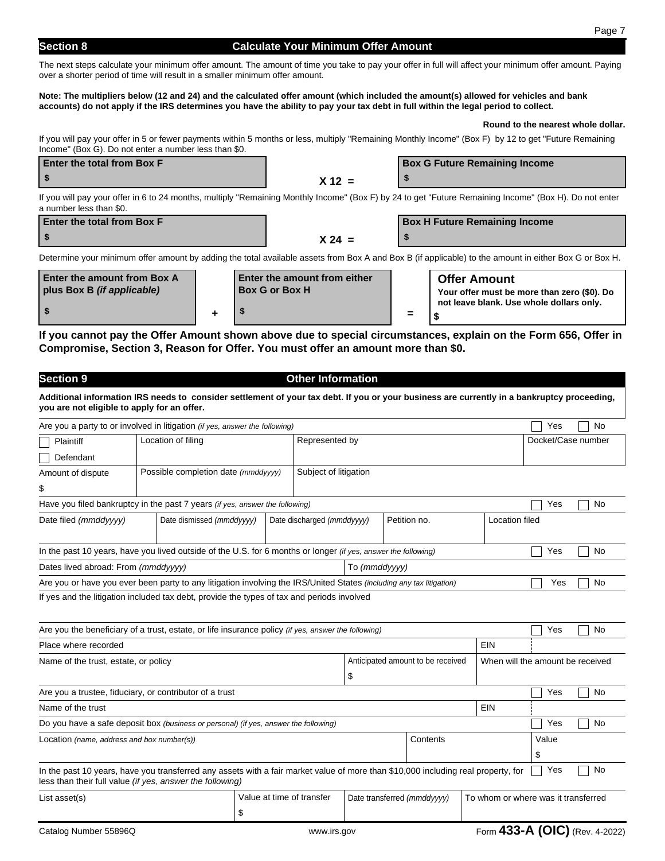# **Section 8 Calculate Your Minimum Offer Amount**

The next steps calculate your minimum offer amount. The amount of time you take to pay your offer in full will affect your minimum offer amount. Paying over a shorter period of time will result in a smaller minimum offer amount.

#### **Note: The multipliers below (12 and 24) and the calculated offer amount (which included the amount(s) allowed for vehicles and bank accounts) do not apply if the IRS determines you have the ability to pay your tax debt in full within the legal period to collect.**

#### **Round to the nearest whole dollar.**

If you will pay your offer in 5 or fewer payments within 5 months or less, multiply "Remaining Monthly Income" (Box F) by 12 to get "Future Remaining Income" (Box G). Do not enter a number less than \$0.

| Enter the total from Box F                                                                                                                        |         | <b>Box G Future Remaining Income</b> |  |  |  |  |  |
|---------------------------------------------------------------------------------------------------------------------------------------------------|---------|--------------------------------------|--|--|--|--|--|
|                                                                                                                                                   | $'$ 49. |                                      |  |  |  |  |  |
| However, However, and American control the control of the Martin Local High Control of the Highest News, News, Highest Highest News, News, Andrea |         |                                      |  |  |  |  |  |

If you will pay your offer in 6 to 24 months, multiply "Remaining Monthly Income" (Box F) by 24 to get "Future Remaining Income" (Box H). Do not enter a number less than \$0.

| <b>Enter the total from Box F</b> |          | <b>Box H Future Remaining Income</b> |
|-----------------------------------|----------|--------------------------------------|
|                                   | $X 24 =$ |                                      |

Determine your minimum offer amount by adding the total available assets from Box A and Box B (if applicable) to the amount in either Box G or Box H.

| <b>Enter the amount from Box A</b><br>plus Box B <i>(if applicable)</i> | <b>Enter the amount from either</b><br><b>Box G or Box H</b> |     | <b>Offer Amount</b><br>Your offer must be more than zero (\$0). Do |
|-------------------------------------------------------------------------|--------------------------------------------------------------|-----|--------------------------------------------------------------------|
|                                                                         |                                                              | $=$ | not leave blank. Use whole dollars only.                           |

**If you cannot pay the Offer Amount shown above due to special circumstances, explain on the Form 656, Offer in Compromise, Section 3, Reason for Offer. You must offer an amount more than \$0.**

| <b>Section 9</b>                            |                                                                                                                                                                                                |                           | <b>Other Information</b>   |                                   |  |                             |  |                                  |                                     |  |    |
|---------------------------------------------|------------------------------------------------------------------------------------------------------------------------------------------------------------------------------------------------|---------------------------|----------------------------|-----------------------------------|--|-----------------------------|--|----------------------------------|-------------------------------------|--|----|
| you are not eligible to apply for an offer. | Additional information IRS needs to consider settlement of your tax debt. If you or your business are currently in a bankruptcy proceeding,                                                    |                           |                            |                                   |  |                             |  |                                  |                                     |  |    |
|                                             | Are you a party to or involved in litigation (if yes, answer the following)                                                                                                                    |                           |                            |                                   |  |                             |  |                                  | Yes                                 |  | No |
| Plaintiff                                   | Location of filing                                                                                                                                                                             |                           | Represented by             |                                   |  |                             |  |                                  | Docket/Case number                  |  |    |
| Defendant                                   |                                                                                                                                                                                                |                           |                            |                                   |  |                             |  |                                  |                                     |  |    |
| Amount of dispute                           | Possible completion date (mmddyyyy)                                                                                                                                                            |                           | Subject of litigation      |                                   |  |                             |  |                                  |                                     |  |    |
| \$                                          |                                                                                                                                                                                                |                           |                            |                                   |  |                             |  |                                  |                                     |  |    |
|                                             | Have you filed bankruptcy in the past 7 years (if yes, answer the following)                                                                                                                   |                           |                            |                                   |  |                             |  |                                  | Yes                                 |  | No |
| Date filed (mmddyyyy)                       | Date dismissed (mmddyyyy)                                                                                                                                                                      |                           | Date discharged (mmddyyyy) |                                   |  | Petition no.                |  | <b>Location filed</b>            |                                     |  |    |
|                                             | In the past 10 years, have you lived outside of the U.S. for 6 months or longer (if yes, answer the following)                                                                                 |                           |                            |                                   |  |                             |  |                                  | Yes                                 |  | No |
| Dates lived abroad: From (mmddyyyy)         |                                                                                                                                                                                                |                           |                            | To (mmddyyyy)                     |  |                             |  |                                  |                                     |  |    |
|                                             | Are you or have you ever been party to any litigation involving the IRS/United States (including any tax litigation)                                                                           |                           |                            |                                   |  |                             |  |                                  | Yes                                 |  | No |
|                                             | If yes and the litigation included tax debt, provide the types of tax and periods involved                                                                                                     |                           |                            |                                   |  |                             |  |                                  |                                     |  |    |
|                                             | Are you the beneficiary of a trust, estate, or life insurance policy (if yes, answer the following)                                                                                            |                           |                            |                                   |  |                             |  |                                  | Yes                                 |  | No |
| Place where recorded                        |                                                                                                                                                                                                |                           |                            |                                   |  |                             |  | EIN                              |                                     |  |    |
| Name of the trust, estate, or policy        |                                                                                                                                                                                                |                           |                            | Anticipated amount to be received |  |                             |  | When will the amount be received |                                     |  |    |
|                                             |                                                                                                                                                                                                |                           |                            | \$                                |  |                             |  |                                  |                                     |  |    |
|                                             | Are you a trustee, fiduciary, or contributor of a trust                                                                                                                                        |                           |                            |                                   |  |                             |  |                                  | Yes                                 |  | No |
| Name of the trust                           |                                                                                                                                                                                                |                           |                            |                                   |  |                             |  | EIN                              |                                     |  |    |
|                                             | Do you have a safe deposit box (business or personal) (if yes, answer the following)                                                                                                           |                           |                            |                                   |  |                             |  |                                  | Yes                                 |  | No |
| Location (name, address and box number(s))  |                                                                                                                                                                                                |                           |                            |                                   |  | Contents                    |  |                                  | Value                               |  |    |
|                                             |                                                                                                                                                                                                |                           |                            |                                   |  |                             |  |                                  | \$                                  |  |    |
|                                             | In the past 10 years, have you transferred any assets with a fair market value of more than \$10,000 including real property, for<br>less than their full value (if yes, answer the following) |                           |                            |                                   |  |                             |  |                                  | Yes                                 |  | No |
| List asset(s)                               |                                                                                                                                                                                                | Value at time of transfer |                            |                                   |  | Date transferred (mmddyyyy) |  |                                  | To whom or where was it transferred |  |    |
|                                             |                                                                                                                                                                                                | \$                        |                            |                                   |  |                             |  |                                  |                                     |  |    |
| Catalog Number 55896Q                       |                                                                                                                                                                                                |                           | www.irs.gov                |                                   |  |                             |  |                                  | Form 433-A (OIC) (Rev. 4-2022)      |  |    |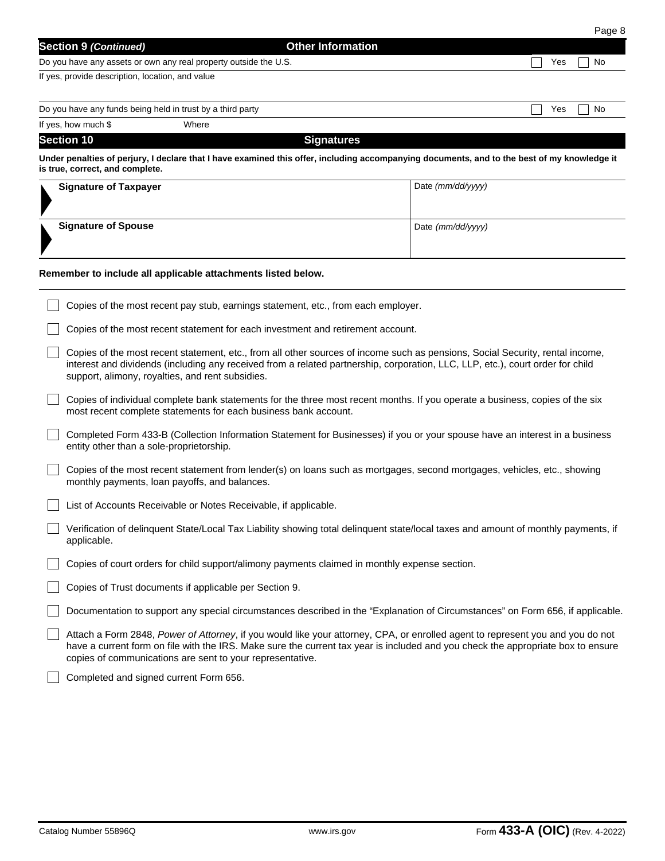|                                                  |                                                                  |                                                                                                                                             |                   |     | Page 8 |
|--------------------------------------------------|------------------------------------------------------------------|---------------------------------------------------------------------------------------------------------------------------------------------|-------------------|-----|--------|
| <b>Section 9 (Continued)</b>                     |                                                                  | <b>Other Information</b>                                                                                                                    |                   |     |        |
|                                                  | Do you have any assets or own any real property outside the U.S. |                                                                                                                                             |                   | Yes | No     |
| If yes, provide description, location, and value |                                                                  |                                                                                                                                             |                   |     |        |
|                                                  | Do you have any funds being held in trust by a third party       |                                                                                                                                             |                   | Yes | No     |
| If yes, how much \$                              | Where                                                            |                                                                                                                                             |                   |     |        |
| <b>Section 10</b>                                |                                                                  | <b>Signatures</b>                                                                                                                           |                   |     |        |
| is true, correct, and complete.                  |                                                                  | Under penalties of perjury, I declare that I have examined this offer, including accompanying documents, and to the best of my knowledge it |                   |     |        |
| <b>Signature of Taxpayer</b>                     |                                                                  |                                                                                                                                             | Date (mm/dd/yyyy) |     |        |

# ► **Signature of Spouse** Date *(mm/dd/yyyy)*

| Remember to include all applicable attachments listed below.                                                                                                                                                                                                                                                                    |
|---------------------------------------------------------------------------------------------------------------------------------------------------------------------------------------------------------------------------------------------------------------------------------------------------------------------------------|
| Copies of the most recent pay stub, earnings statement, etc., from each employer.                                                                                                                                                                                                                                               |
| Copies of the most recent statement for each investment and retirement account.                                                                                                                                                                                                                                                 |
| Copies of the most recent statement, etc., from all other sources of income such as pensions, Social Security, rental income,<br>interest and dividends (including any received from a related partnership, corporation, LLC, LLP, etc.), court order for child<br>support, alimony, royalties, and rent subsidies.             |
| Copies of individual complete bank statements for the three most recent months. If you operate a business, copies of the six<br>most recent complete statements for each business bank account.                                                                                                                                 |
| Completed Form 433-B (Collection Information Statement for Businesses) if you or your spouse have an interest in a business<br>entity other than a sole-proprietorship.                                                                                                                                                         |
| Copies of the most recent statement from lender(s) on loans such as mortgages, second mortgages, vehicles, etc., showing<br>monthly payments, loan payoffs, and balances.                                                                                                                                                       |
| List of Accounts Receivable or Notes Receivable, if applicable.                                                                                                                                                                                                                                                                 |
| Verification of delinquent State/Local Tax Liability showing total delinquent state/local taxes and amount of monthly payments, if<br>applicable.                                                                                                                                                                               |
| Copies of court orders for child support/alimony payments claimed in monthly expense section.                                                                                                                                                                                                                                   |
| Copies of Trust documents if applicable per Section 9.                                                                                                                                                                                                                                                                          |
| Documentation to support any special circumstances described in the "Explanation of Circumstances" on Form 656, if applicable.                                                                                                                                                                                                  |
| Attach a Form 2848, Power of Attorney, if you would like your attorney, CPA, or enrolled agent to represent you and you do not<br>have a current form on file with the IRS. Make sure the current tax year is included and you check the appropriate box to ensure<br>copies of communications are sent to your representative. |
| $\Box$ only in the contract of the contract of $\Box$ or the contract of $\Box$                                                                                                                                                                                                                                                 |

Completed and signed current Form 656.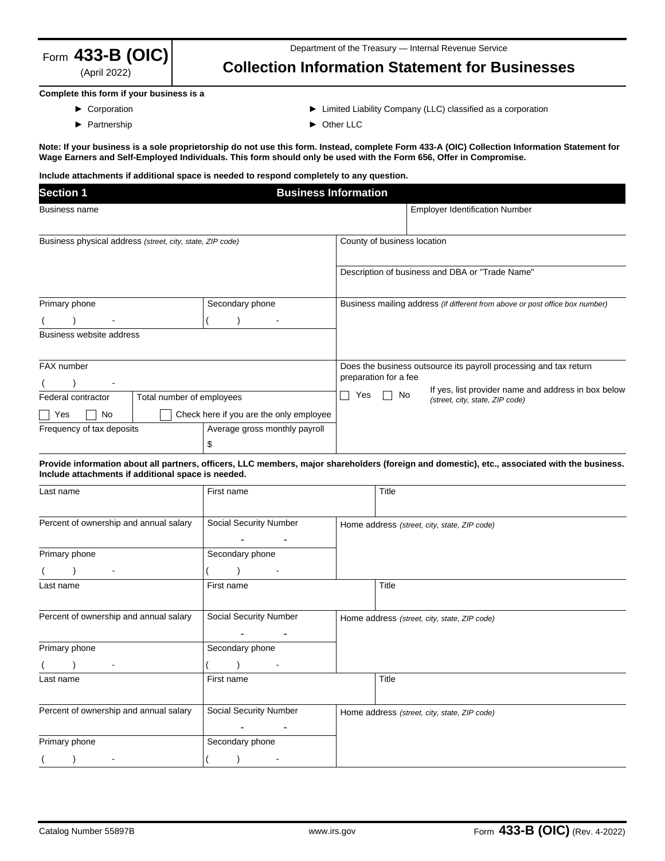

(April 2022)

# **Collection Information Statement for Businesses**

#### **Complete this form if your business is a**

- ► Corporation
- ► Partnership
- ► Limited Liability Company (LLC) classified as a corporation
- ► Other LLC

**Note: If your business is a sole proprietorship do not use this form. Instead, complete Form 433-A (OIC) Collection Information Statement for Wage Earners and Self-Employed Individuals. This form should only be used with the Form 656, Offer in Compromise.** 

#### **Include attachments if additional space is needed to respond completely to any question.**

| <b>Section 1</b><br><b>Business Information</b>           |  |                                         |                             |                                                                                            |                                                                                        |  |  |  |  |
|-----------------------------------------------------------|--|-----------------------------------------|-----------------------------|--------------------------------------------------------------------------------------------|----------------------------------------------------------------------------------------|--|--|--|--|
| <b>Business name</b>                                      |  |                                         |                             |                                                                                            | <b>Employer Identification Number</b>                                                  |  |  |  |  |
| Business physical address (street, city, state, ZIP code) |  |                                         | County of business location |                                                                                            |                                                                                        |  |  |  |  |
|                                                           |  |                                         |                             |                                                                                            | Description of business and DBA or "Trade Name"                                        |  |  |  |  |
| Primary phone<br>Secondary phone                          |  |                                         |                             | Business mailing address (if different from above or post office box number)               |                                                                                        |  |  |  |  |
|                                                           |  |                                         |                             |                                                                                            |                                                                                        |  |  |  |  |
| Business website address                                  |  |                                         |                             |                                                                                            |                                                                                        |  |  |  |  |
| FAX number                                                |  |                                         |                             | Does the business outsource its payroll processing and tax return<br>preparation for a fee |                                                                                        |  |  |  |  |
| Total number of employees<br>Federal contractor           |  |                                         | Yes                         | No                                                                                         | If yes, list provider name and address in box below<br>(street, city, state, ZIP code) |  |  |  |  |
| No<br>Yes                                                 |  | Check here if you are the only employee |                             |                                                                                            |                                                                                        |  |  |  |  |
| Frequency of tax deposits                                 |  | Average gross monthly payroll           |                             |                                                                                            |                                                                                        |  |  |  |  |
|                                                           |  | \$                                      |                             |                                                                                            |                                                                                        |  |  |  |  |

#### **Provide information about all partners, officers, LLC members, major shareholders (foreign and domestic), etc., associated with the business. Include attachments if additional space is needed.**

| Last name                              | First name               |  | Title                                        |
|----------------------------------------|--------------------------|--|----------------------------------------------|
| Percent of ownership and annual salary | Social Security Number   |  | Home address (street, city, state, ZIP code) |
| Primary phone                          | Secondary phone          |  |                                              |
|                                        | $\overline{\phantom{a}}$ |  |                                              |
| Last name                              | First name               |  | Title                                        |
| Percent of ownership and annual salary | Social Security Number   |  | Home address (street, city, state, ZIP code) |
| Primary phone                          | Secondary phone          |  |                                              |
|                                        |                          |  |                                              |
| Last name                              | First name               |  | Title                                        |
| Percent of ownership and annual salary | Social Security Number   |  | Home address (street, city, state, ZIP code) |
| Primary phone                          | Secondary phone          |  |                                              |
|                                        |                          |  |                                              |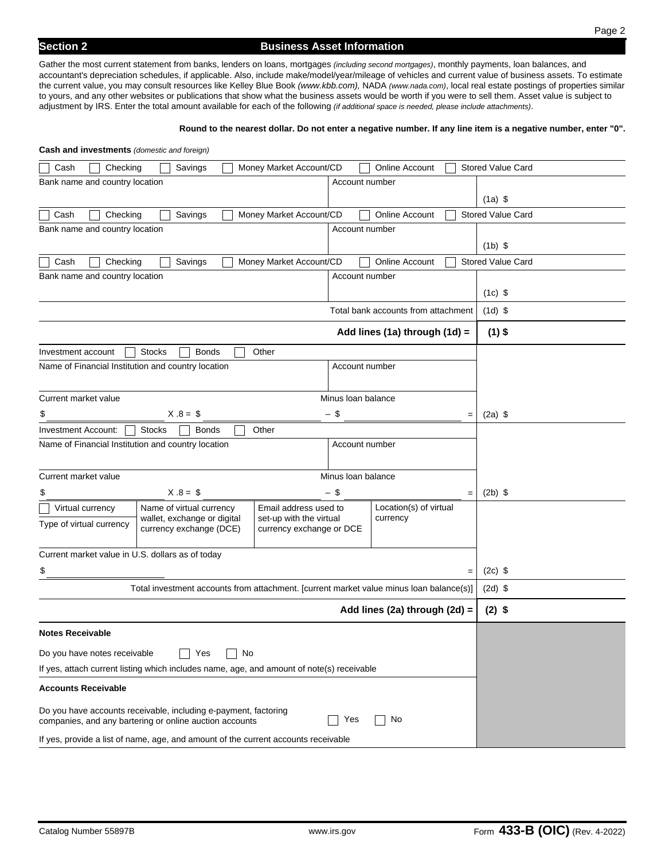**Cash and investments** *(domestic and foreign)* 

Gather the most current statement from banks, lenders on loans, mortgages *(including second mortgages)*, monthly payments, loan balances, and accountant's depreciation schedules, if applicable. Also, include make/model/year/mileage of vehicles and current value of business assets. To estimate the current value, you may consult resources like Kelley Blue Book *(www.kbb.com),* NADA *(www.nada.com)*, local real estate postings of properties similar to yours, and any other websites or publications that show what the business assets would be worth if you were to sell them. Asset value is subject to adjustment by IRS. Enter the total amount available for each of the following *(if additional space is needed, please include attachments)*.

#### **Round to the nearest dollar. Do not enter a negative number. If any line item is a negative number, enter "0".**

| <b>Cash and investments</b> ( <i>domestic and loreign</i> )                                                                     |                                     |                          |
|---------------------------------------------------------------------------------------------------------------------------------|-------------------------------------|--------------------------|
| Checking<br>Money Market Account/CD<br>Cash<br>Savings                                                                          | Online Account                      | <b>Stored Value Card</b> |
| Bank name and country location                                                                                                  | Account number                      |                          |
|                                                                                                                                 |                                     | $(1a)$ \$                |
| Money Market Account/CD<br>Cash<br>Checking<br>Savings                                                                          | Online Account                      | <b>Stored Value Card</b> |
| Bank name and country location                                                                                                  | Account number                      |                          |
|                                                                                                                                 |                                     | $(1b)$ \$                |
| Money Market Account/CD<br>Cash<br>Checking<br>Savings                                                                          | <b>Online Account</b>               | <b>Stored Value Card</b> |
| Bank name and country location                                                                                                  | Account number                      |                          |
|                                                                                                                                 |                                     | $(1c)$ \$                |
|                                                                                                                                 | Total bank accounts from attachment | $(1d)$ \$                |
|                                                                                                                                 | Add lines (1a) through (1d) =       | $(1)$ \$                 |
| <b>Stocks</b><br>Other<br>Investment account<br><b>Bonds</b>                                                                    |                                     |                          |
| Name of Financial Institution and country location                                                                              | Account number                      |                          |
|                                                                                                                                 |                                     |                          |
| Current market value                                                                                                            | Minus Ioan balance                  |                          |
| $X.8 = $$<br>\$                                                                                                                 | - \$<br>$=$                         | $(2a)$ \$                |
| <b>Investment Account:</b><br><b>Stocks</b><br>Other<br><b>Bonds</b>                                                            |                                     |                          |
| Name of Financial Institution and country location                                                                              |                                     |                          |
|                                                                                                                                 |                                     |                          |
| Current market value                                                                                                            | Minus Ioan balance                  |                          |
| $X.8 = $$<br>\$                                                                                                                 | - \$<br>$=$                         | $(2b)$ \$                |
| Name of virtual currency<br>Email address used to<br>Virtual currency<br>wallet, exchange or digital<br>set-up with the virtual | Location(s) of virtual<br>currency  |                          |
| Type of virtual currency<br>currency exchange (DCE)<br>currency exchange or DCE                                                 |                                     |                          |
| Current market value in U.S. dollars as of today                                                                                |                                     |                          |
| \$                                                                                                                              |                                     |                          |
|                                                                                                                                 | $=$                                 | $(2c)$ \$                |
| Total investment accounts from attachment. [current market value minus loan balance(s)]                                         |                                     | $(2d)$ \$                |
|                                                                                                                                 | Add lines (2a) through (2d) =       | $(2)$ \$                 |
| <b>Notes Receivable</b>                                                                                                         |                                     |                          |
| Do you have notes receivable<br>No<br>Yes                                                                                       |                                     |                          |
| If yes, attach current listing which includes name, age, and amount of note(s) receivable                                       |                                     |                          |
| <b>Accounts Receivable</b>                                                                                                      |                                     |                          |
| Do you have accounts receivable, including e-payment, factoring<br>companies, and any bartering or online auction accounts      |                                     |                          |
| If yes, provide a list of name, age, and amount of the current accounts receivable                                              |                                     |                          |
|                                                                                                                                 |                                     |                          |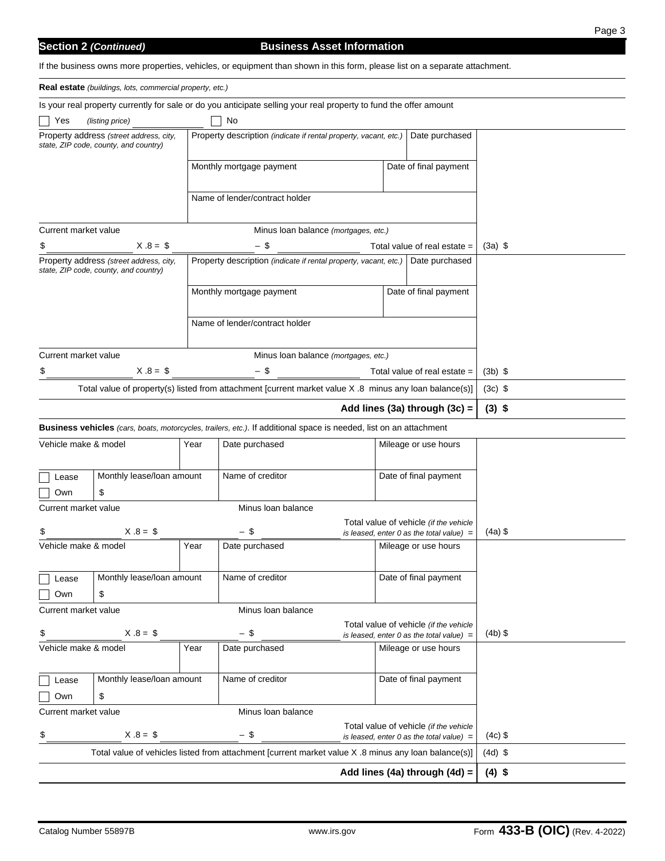## **Business Asset Information**

If the business owns more properties, vehicles, or equipment than shown in this form, please list on a separate attachment.

| <b>Real estate</b> (buildings, lots, commercial property, etc.)                                                                                                        |                                                                                  |      |                                                                                                                    |                                      |  |                                                                                      |           |  |
|------------------------------------------------------------------------------------------------------------------------------------------------------------------------|----------------------------------------------------------------------------------|------|--------------------------------------------------------------------------------------------------------------------|--------------------------------------|--|--------------------------------------------------------------------------------------|-----------|--|
| Is your real property currently for sale or do you anticipate selling your real property to fund the offer amount                                                      |                                                                                  |      |                                                                                                                    |                                      |  |                                                                                      |           |  |
| No<br>Yes<br>(listing price)                                                                                                                                           |                                                                                  |      |                                                                                                                    |                                      |  |                                                                                      |           |  |
| Property address (street address, city,<br>Property description (indicate if rental property, vacant, etc.)<br>Date purchased<br>state, ZIP code, county, and country) |                                                                                  |      |                                                                                                                    |                                      |  |                                                                                      |           |  |
|                                                                                                                                                                        |                                                                                  |      | Monthly mortgage payment                                                                                           |                                      |  | Date of final payment                                                                |           |  |
|                                                                                                                                                                        |                                                                                  |      |                                                                                                                    |                                      |  |                                                                                      |           |  |
|                                                                                                                                                                        |                                                                                  |      | Name of lender/contract holder                                                                                     |                                      |  |                                                                                      |           |  |
| Current market value                                                                                                                                                   |                                                                                  |      |                                                                                                                    | Minus Ioan balance (mortgages, etc.) |  |                                                                                      |           |  |
| \$                                                                                                                                                                     | $X.8 = $$                                                                        |      | - \$                                                                                                               |                                      |  | Total value of real estate $=$                                                       | $(3a)$ \$ |  |
|                                                                                                                                                                        | Property address (street address, city,<br>state, ZIP code, county, and country) |      | Property description (indicate if rental property, vacant, etc.)                                                   |                                      |  | Date purchased                                                                       |           |  |
|                                                                                                                                                                        |                                                                                  |      | Monthly mortgage payment                                                                                           |                                      |  | Date of final payment                                                                |           |  |
|                                                                                                                                                                        |                                                                                  |      | Name of lender/contract holder                                                                                     |                                      |  |                                                                                      |           |  |
| Current market value                                                                                                                                                   |                                                                                  |      |                                                                                                                    | Minus Ioan balance (mortgages, etc.) |  |                                                                                      |           |  |
|                                                                                                                                                                        | $X.8 = $$                                                                        |      | $-$ \$                                                                                                             |                                      |  | Total value of real estate $=$                                                       | $(3b)$ \$ |  |
|                                                                                                                                                                        |                                                                                  |      | Total value of property(s) listed from attachment [current market value X .8 minus any loan balance(s)]            |                                      |  |                                                                                      | $(3c)$ \$ |  |
|                                                                                                                                                                        |                                                                                  |      |                                                                                                                    |                                      |  | Add lines (3a) through $(3c)$ =                                                      | $(3)$ \$  |  |
|                                                                                                                                                                        |                                                                                  |      | Business vehicles (cars, boats, motorcycles, trailers, etc.). If additional space is needed, list on an attachment |                                      |  |                                                                                      |           |  |
| Vehicle make & model                                                                                                                                                   |                                                                                  | Year | Date purchased                                                                                                     |                                      |  | Mileage or use hours                                                                 |           |  |
|                                                                                                                                                                        |                                                                                  |      |                                                                                                                    |                                      |  |                                                                                      |           |  |
| Lease                                                                                                                                                                  | Monthly lease/loan amount                                                        |      | Name of creditor                                                                                                   |                                      |  | Date of final payment                                                                |           |  |
| Own                                                                                                                                                                    | \$                                                                               |      |                                                                                                                    |                                      |  |                                                                                      |           |  |
| Current market value                                                                                                                                                   |                                                                                  |      | Minus Ioan balance                                                                                                 |                                      |  |                                                                                      |           |  |
|                                                                                                                                                                        | $X.8 = $$                                                                        |      | $-$ \$                                                                                                             |                                      |  | Total value of vehicle (if the vehicle<br>is leased, enter 0 as the total value) $=$ | $(4a)$ \$ |  |
| Vehicle make & model                                                                                                                                                   |                                                                                  | Year | Date purchased                                                                                                     |                                      |  | Mileage or use hours                                                                 |           |  |
|                                                                                                                                                                        |                                                                                  |      |                                                                                                                    |                                      |  |                                                                                      |           |  |
| Lease                                                                                                                                                                  | Monthly lease/loan amount                                                        |      | Name of creditor                                                                                                   |                                      |  | Date of final payment                                                                |           |  |
| Own                                                                                                                                                                    | \$                                                                               |      |                                                                                                                    |                                      |  |                                                                                      |           |  |
| Current market value                                                                                                                                                   |                                                                                  |      | Minus Ioan balance                                                                                                 |                                      |  |                                                                                      |           |  |
| \$                                                                                                                                                                     | $X.8 = $$                                                                        |      | - \$                                                                                                               |                                      |  | Total value of vehicle (if the vehicle<br>is leased, enter 0 as the total value) $=$ | $(4b)$ \$ |  |
| Vehicle make & model                                                                                                                                                   |                                                                                  | Year | Date purchased                                                                                                     |                                      |  | Mileage or use hours                                                                 |           |  |
|                                                                                                                                                                        |                                                                                  |      |                                                                                                                    |                                      |  |                                                                                      |           |  |
| Lease                                                                                                                                                                  | Monthly lease/loan amount                                                        |      | Name of creditor                                                                                                   |                                      |  | Date of final payment                                                                |           |  |
| Own                                                                                                                                                                    | \$                                                                               |      |                                                                                                                    |                                      |  |                                                                                      |           |  |
| Current market value<br>Minus Ioan balance                                                                                                                             |                                                                                  |      |                                                                                                                    |                                      |  |                                                                                      |           |  |
| \$                                                                                                                                                                     | $X.8 = $$                                                                        |      | $-$ \$                                                                                                             |                                      |  | Total value of vehicle (if the vehicle<br>is leased, enter 0 as the total value) $=$ | $(4c)$ \$ |  |
| Total value of vehicles listed from attachment [current market value X .8 minus any loan balance(s)]                                                                   |                                                                                  |      |                                                                                                                    |                                      |  |                                                                                      | $(4d)$ \$ |  |
|                                                                                                                                                                        |                                                                                  |      |                                                                                                                    |                                      |  | Add lines (4a) through (4d) =                                                        | $(4)$ \$  |  |
|                                                                                                                                                                        |                                                                                  |      |                                                                                                                    |                                      |  |                                                                                      |           |  |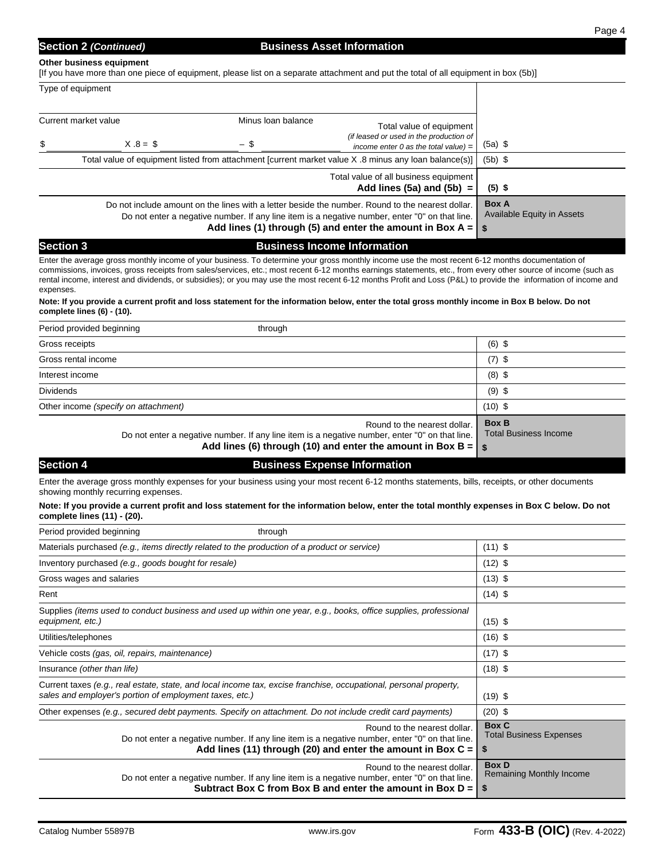#### **Other business equipment**

[If you have more than one piece of equipment, please list on a separate attachment and put the total of all equipment in box (5b)]

| Type of equipment    |                                                                                                                                                                                                    |                                                                                                                           |                                                                        |           |
|----------------------|----------------------------------------------------------------------------------------------------------------------------------------------------------------------------------------------------|---------------------------------------------------------------------------------------------------------------------------|------------------------------------------------------------------------|-----------|
| Current market value |                                                                                                                                                                                                    | Minus Ioan balance                                                                                                        | Total value of equipment<br>(if leased or used in the production of    |           |
| \$                   | $X.8 = $$                                                                                                                                                                                          | - \$                                                                                                                      | income enter 0 as the total value) $=$                                 | $(5a)$ \$ |
|                      | Total value of equipment listed from attachment [current market value X .8 minus any loan balance(s)]                                                                                              | $(5b)$ \$                                                                                                                 |                                                                        |           |
|                      |                                                                                                                                                                                                    |                                                                                                                           | Total value of all business equipment<br>Add lines $(5a)$ and $(5b) =$ | $(5)$ \$  |
|                      | Do not include amount on the lines with a letter beside the number. Round to the nearest dollar.<br>Do not enter a negative number. If any line item is a negative number, enter "0" on that line. | <b>Box A</b><br><b>Available Equity in Assets</b><br>Add lines (1) through (5) and enter the amount in Box A = $\vert$ \$ |                                                                        |           |

## **Section 3** Business Income Information

Enter the average gross monthly income of your business. To determine your gross monthly income use the most recent 6-12 months documentation of commissions, invoices, gross receipts from sales/services, etc.; most recent 6-12 months earnings statements, etc., from every other source of income (such as rental income, interest and dividends, or subsidies); or you may use the most recent 6-12 months Profit and Loss (P&L) to provide the information of income and expenses.

#### **Note: If you provide a current profit and loss statement for the information below, enter the total gross monthly income in Box B below. Do not complete lines (6) - (10).**

| Period provided beginning<br>through                                                                                                                                                                    |                                              |
|---------------------------------------------------------------------------------------------------------------------------------------------------------------------------------------------------------|----------------------------------------------|
| Gross receipts                                                                                                                                                                                          | $(6)$ \$                                     |
| Gross rental income                                                                                                                                                                                     | $(7)$ \$                                     |
| Interest income                                                                                                                                                                                         | $(8)$ \$                                     |
| <b>Dividends</b>                                                                                                                                                                                        | $(9)$ \$                                     |
| Other income (specify on attachment)                                                                                                                                                                    | $(10)$ \$                                    |
| Round to the nearest dollar.<br>Do not enter a negative number. If any line item is a negative number, enter "0" on that line.<br>Add lines (6) through (10) and enter the amount in Box B = $\vert$ \$ | <b>Box B</b><br><b>Total Business Income</b> |

# **Section 4 Business Expense Information Business Expense Information**

Enter the average gross monthly expenses for your business using your most recent 6-12 months statements, bills, receipts, or other documents showing monthly recurring expenses.

#### **Note: If you provide a current profit and loss statement for the information below, enter the total monthly expenses in Box C below. Do not complete lines (11) - (20).**

| Period provided beginning<br>through                                                                                                                                                                      |                                                        |
|-----------------------------------------------------------------------------------------------------------------------------------------------------------------------------------------------------------|--------------------------------------------------------|
| Materials purchased (e.g., items directly related to the production of a product or service)                                                                                                              | $(11)$ \$                                              |
| Inventory purchased (e.g., goods bought for resale)                                                                                                                                                       | $(12)$ \$                                              |
| Gross wages and salaries                                                                                                                                                                                  | $(13)$ \$                                              |
| Rent                                                                                                                                                                                                      | $(14)$ \$                                              |
| Supplies (items used to conduct business and used up within one year, e.g., books, office supplies, professional<br>equipment, etc.)                                                                      | $(15)$ \$                                              |
| Utilities/telephones                                                                                                                                                                                      | $(16)$ \$                                              |
| Vehicle costs (gas, oil, repairs, maintenance)                                                                                                                                                            | $(17)$ \$                                              |
| Insurance (other than life)                                                                                                                                                                               | $(18)$ \$                                              |
| Current taxes (e.g., real estate, state, and local income tax, excise franchise, occupational, personal property,<br>sales and employer's portion of employment taxes, etc.)                              | $(19)$ \$                                              |
| Other expenses (e.g., secured debt payments. Specify on attachment. Do not include credit card payments)                                                                                                  | $(20)$ \$                                              |
| Round to the nearest dollar.<br>Do not enter a negative number. If any line item is a negative number, enter "0" on that line.<br>Add lines (11) through (20) and enter the amount in Box $C =  $         | <b>Box C</b><br><b>Total Business Expenses</b><br>- \$ |
| Round to the nearest dollar.<br>Do not enter a negative number. If any line item is a negative number, enter "0" on that line.<br>Subtract Box C from Box B and enter the amount in Box $D = \frac{1}{2}$ | <b>Box D</b><br><b>Remaining Monthly Income</b>        |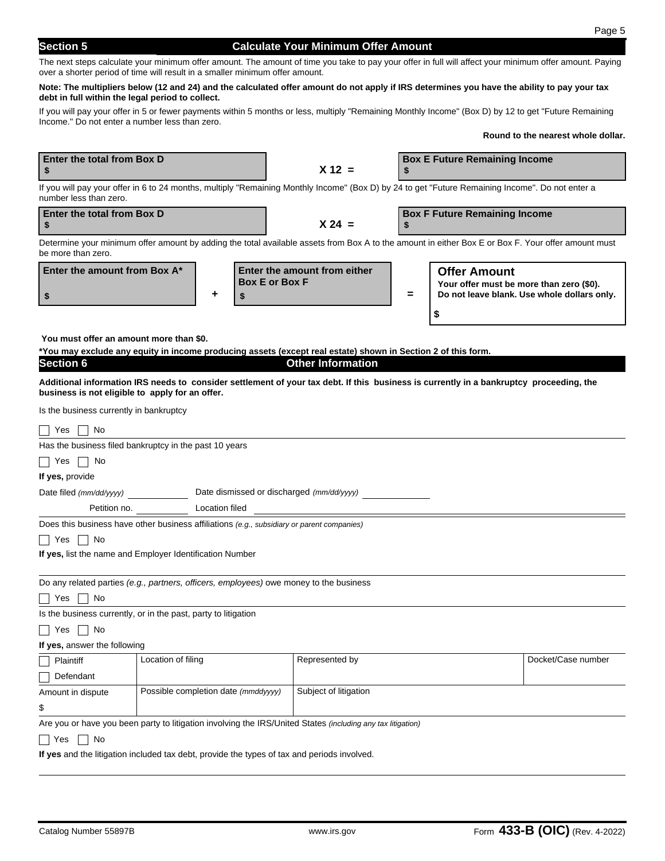**Enter the total from Box D**

## **Section 5 Calculate Your Minimum Offer Amount**

The next steps calculate your minimum offer amount. The amount of time you take to pay your offer in full will affect your minimum offer amount. Paying over a shorter period of time will result in a smaller minimum offer amount.

#### **Note: The multipliers below (12 and 24) and the calculated offer amount do not apply if IRS determines you have the ability to pay your tax debt in full within the legal period to collect.**

If you will pay your offer in 5 or fewer payments within 5 months or less, multiply "Remaining Monthly Income" (Box D) by 12 to get "Future Remaining Income." Do not enter a number less than zero.

**Round to the nearest whole dollar.**

**Box E Future Remaining Income**

| \$                                                                                          |                                     |                       | $X 12 =$              |                                                                                                                                                    |          |                                                                 |                                             |
|---------------------------------------------------------------------------------------------|-------------------------------------|-----------------------|-----------------------|----------------------------------------------------------------------------------------------------------------------------------------------------|----------|-----------------------------------------------------------------|---------------------------------------------|
| number less than zero.                                                                      |                                     |                       |                       | If you will pay your offer in 6 to 24 months, multiply "Remaining Monthly Income" (Box D) by 24 to get "Future Remaining Income". Do not enter a   |          |                                                                 |                                             |
| Enter the total from Box D<br>\$                                                            |                                     |                       |                       | $X 24 =$                                                                                                                                           | S        | <b>Box F Future Remaining Income</b>                            |                                             |
| be more than zero.                                                                          |                                     |                       |                       | Determine your minimum offer amount by adding the total available assets from Box A to the amount in either Box E or Box F. Your offer amount must |          |                                                                 |                                             |
| Enter the amount from Box A*                                                                |                                     |                       | <b>Box E or Box F</b> | Enter the amount from either                                                                                                                       |          | <b>Offer Amount</b><br>Your offer must be more than zero (\$0). |                                             |
| \$                                                                                          |                                     | ٠                     | \$                    |                                                                                                                                                    | $\equiv$ |                                                                 | Do not leave blank. Use whole dollars only. |
|                                                                                             |                                     |                       |                       |                                                                                                                                                    |          | \$                                                              |                                             |
| You must offer an amount more than \$0.                                                     |                                     |                       |                       |                                                                                                                                                    |          |                                                                 |                                             |
|                                                                                             |                                     |                       |                       | *You may exclude any equity in income producing assets (except real estate) shown in Section 2 of this form.                                       |          |                                                                 |                                             |
| <b>Section 6</b>                                                                            |                                     |                       |                       | <b>Other Information</b>                                                                                                                           |          |                                                                 |                                             |
|                                                                                             |                                     |                       |                       | Additional information IRS needs to consider settlement of your tax debt. If this business is currently in a bankruptcy proceeding, the            |          |                                                                 |                                             |
| business is not eligible to apply for an offer.                                             |                                     |                       |                       |                                                                                                                                                    |          |                                                                 |                                             |
| Is the business currently in bankruptcy                                                     |                                     |                       |                       |                                                                                                                                                    |          |                                                                 |                                             |
| No<br>Yes                                                                                   |                                     |                       |                       |                                                                                                                                                    |          |                                                                 |                                             |
| Has the business filed bankruptcy in the past 10 years                                      |                                     |                       |                       |                                                                                                                                                    |          |                                                                 |                                             |
| Yes<br>∣No                                                                                  |                                     |                       |                       |                                                                                                                                                    |          |                                                                 |                                             |
| If yes, provide                                                                             |                                     |                       |                       |                                                                                                                                                    |          |                                                                 |                                             |
| Date filed (mm/dd/yyyy)                                                                     |                                     |                       |                       | Date dismissed or discharged (mm/dd/yyyy)                                                                                                          |          |                                                                 |                                             |
|                                                                                             | Petition no.                        | <b>Location filed</b> |                       |                                                                                                                                                    |          |                                                                 |                                             |
| Does this business have other business affiliations (e.g., subsidiary or parent companies)  |                                     |                       |                       |                                                                                                                                                    |          |                                                                 |                                             |
| Yes<br>∣ ∣No                                                                                |                                     |                       |                       |                                                                                                                                                    |          |                                                                 |                                             |
| If yes, list the name and Employer Identification Number                                    |                                     |                       |                       |                                                                                                                                                    |          |                                                                 |                                             |
|                                                                                             |                                     |                       |                       |                                                                                                                                                    |          |                                                                 |                                             |
| Do any related parties (e.g., partners, officers, employees) owe money to the business      |                                     |                       |                       |                                                                                                                                                    |          |                                                                 |                                             |
| No<br>Yes                                                                                   |                                     |                       |                       |                                                                                                                                                    |          |                                                                 |                                             |
| Is the business currently, or in the past, party to litigation                              |                                     |                       |                       |                                                                                                                                                    |          |                                                                 |                                             |
| ∣ No<br>Yes                                                                                 |                                     |                       |                       |                                                                                                                                                    |          |                                                                 |                                             |
| If yes, answer the following                                                                |                                     |                       |                       |                                                                                                                                                    |          |                                                                 |                                             |
| Plaintiff                                                                                   | Location of filing                  |                       |                       | Represented by                                                                                                                                     |          |                                                                 | Docket/Case number                          |
| Defendant                                                                                   |                                     |                       |                       |                                                                                                                                                    |          |                                                                 |                                             |
| Amount in dispute                                                                           | Possible completion date (mmddyyyy) |                       |                       | Subject of litigation                                                                                                                              |          |                                                                 |                                             |
| \$                                                                                          |                                     |                       |                       |                                                                                                                                                    |          |                                                                 |                                             |
|                                                                                             |                                     |                       |                       | Are you or have you been party to litigation involving the IRS/United States (including any tax litigation)                                        |          |                                                                 |                                             |
| No<br>Yes                                                                                   |                                     |                       |                       |                                                                                                                                                    |          |                                                                 |                                             |
| If yes and the litigation included tax debt, provide the types of tax and periods involved. |                                     |                       |                       |                                                                                                                                                    |          |                                                                 |                                             |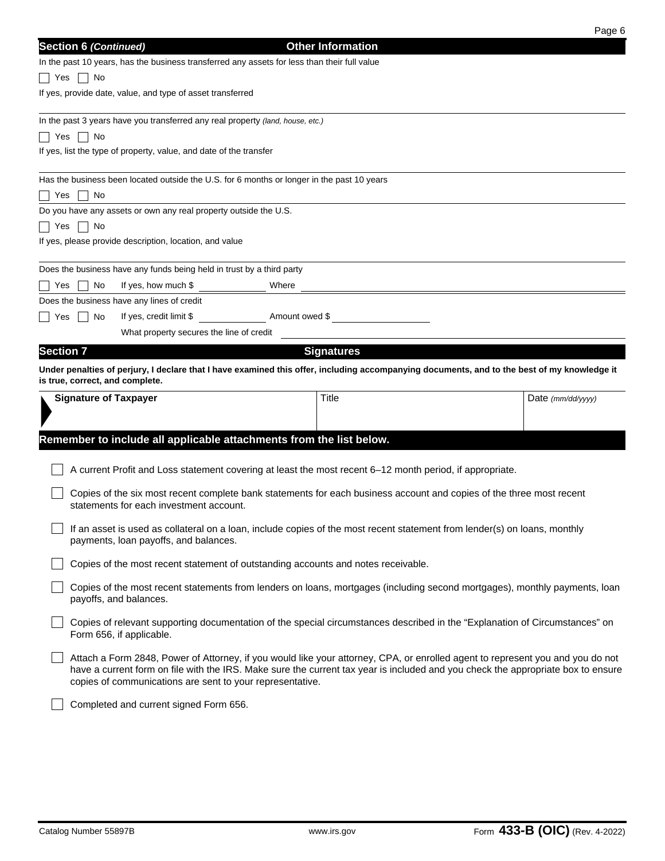|                  |                                                                                                                                                                                                                                                                                                                                 |  |                          | Page 6                             |  |  |
|------------------|---------------------------------------------------------------------------------------------------------------------------------------------------------------------------------------------------------------------------------------------------------------------------------------------------------------------------------|--|--------------------------|------------------------------------|--|--|
|                  | <b>Section 6 (Continued)</b>                                                                                                                                                                                                                                                                                                    |  | <b>Other Information</b> |                                    |  |  |
|                  | In the past 10 years, has the business transferred any assets for less than their full value                                                                                                                                                                                                                                    |  |                          |                                    |  |  |
| l Yes            | ∣ No                                                                                                                                                                                                                                                                                                                            |  |                          |                                    |  |  |
|                  | If yes, provide date, value, and type of asset transferred                                                                                                                                                                                                                                                                      |  |                          |                                    |  |  |
|                  |                                                                                                                                                                                                                                                                                                                                 |  |                          |                                    |  |  |
|                  | In the past 3 years have you transferred any real property (land, house, etc.)                                                                                                                                                                                                                                                  |  |                          |                                    |  |  |
| Yes              | No<br>$\blacksquare$<br>If yes, list the type of property, value, and date of the transfer                                                                                                                                                                                                                                      |  |                          |                                    |  |  |
|                  |                                                                                                                                                                                                                                                                                                                                 |  |                          |                                    |  |  |
|                  | Has the business been located outside the U.S. for 6 months or longer in the past 10 years                                                                                                                                                                                                                                      |  |                          |                                    |  |  |
| Yes              | No                                                                                                                                                                                                                                                                                                                              |  |                          |                                    |  |  |
|                  | Do you have any assets or own any real property outside the U.S.                                                                                                                                                                                                                                                                |  |                          |                                    |  |  |
| Yes              | ∣ No                                                                                                                                                                                                                                                                                                                            |  |                          |                                    |  |  |
|                  | If yes, please provide description, location, and value                                                                                                                                                                                                                                                                         |  |                          |                                    |  |  |
|                  |                                                                                                                                                                                                                                                                                                                                 |  |                          |                                    |  |  |
|                  | Does the business have any funds being held in trust by a third party                                                                                                                                                                                                                                                           |  |                          |                                    |  |  |
| Yes              | If yes, how much \$<br>Where<br>No                                                                                                                                                                                                                                                                                              |  |                          |                                    |  |  |
|                  | Does the business have any lines of credit                                                                                                                                                                                                                                                                                      |  |                          |                                    |  |  |
| Yes              | If yes, credit limit \$ Amount owed \$<br>No<br>What property secures the line of credit                                                                                                                                                                                                                                        |  |                          |                                    |  |  |
|                  |                                                                                                                                                                                                                                                                                                                                 |  |                          |                                    |  |  |
| <b>Section 7</b> |                                                                                                                                                                                                                                                                                                                                 |  | <b>Signatures</b>        |                                    |  |  |
|                  | Under penalties of perjury, I declare that I have examined this offer, including accompanying documents, and to the best of my knowledge it<br>is true, correct, and complete.                                                                                                                                                  |  |                          |                                    |  |  |
|                  | <b>Signature of Taxpayer</b>                                                                                                                                                                                                                                                                                                    |  | Title                    | Date $\frac{\text{mm}}{\text{dd}}$ |  |  |
|                  |                                                                                                                                                                                                                                                                                                                                 |  |                          |                                    |  |  |
|                  |                                                                                                                                                                                                                                                                                                                                 |  |                          |                                    |  |  |
|                  | Remember to include all applicable attachments from the list below.                                                                                                                                                                                                                                                             |  |                          |                                    |  |  |
|                  |                                                                                                                                                                                                                                                                                                                                 |  |                          |                                    |  |  |
|                  | A current Profit and Loss statement covering at least the most recent 6-12 month period, if appropriate.                                                                                                                                                                                                                        |  |                          |                                    |  |  |
|                  | Copies of the six most recent complete bank statements for each business account and copies of the three most recent                                                                                                                                                                                                            |  |                          |                                    |  |  |
|                  | statements for each investment account.                                                                                                                                                                                                                                                                                         |  |                          |                                    |  |  |
|                  | If an asset is used as collateral on a loan, include copies of the most recent statement from lender(s) on loans, monthly                                                                                                                                                                                                       |  |                          |                                    |  |  |
|                  | payments, loan payoffs, and balances.                                                                                                                                                                                                                                                                                           |  |                          |                                    |  |  |
|                  | Copies of the most recent statement of outstanding accounts and notes receivable.                                                                                                                                                                                                                                               |  |                          |                                    |  |  |
|                  |                                                                                                                                                                                                                                                                                                                                 |  |                          |                                    |  |  |
|                  | Copies of the most recent statements from lenders on loans, mortgages (including second mortgages), monthly payments, loan<br>payoffs, and balances.                                                                                                                                                                            |  |                          |                                    |  |  |
|                  | Copies of relevant supporting documentation of the special circumstances described in the "Explanation of Circumstances" on<br>Form 656, if applicable.                                                                                                                                                                         |  |                          |                                    |  |  |
|                  | Attach a Form 2848, Power of Attorney, if you would like your attorney, CPA, or enrolled agent to represent you and you do not<br>have a current form on file with the IRS. Make sure the current tax year is included and you check the appropriate box to ensure<br>copies of communications are sent to your representative. |  |                          |                                    |  |  |
|                  | Completed and current signed Form 656.                                                                                                                                                                                                                                                                                          |  |                          |                                    |  |  |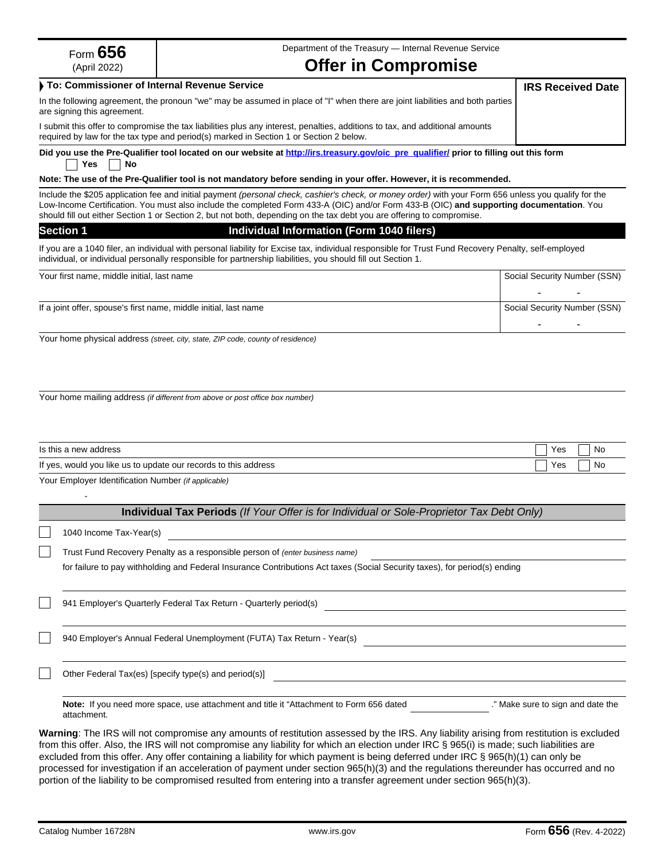| Form $656$                                                       | Department of the Treasury - Internal Revenue Service                                                                                                                                                                                                                                                                                                                                                                                                                                                                                                          |                                   |  |  |  |  |
|------------------------------------------------------------------|----------------------------------------------------------------------------------------------------------------------------------------------------------------------------------------------------------------------------------------------------------------------------------------------------------------------------------------------------------------------------------------------------------------------------------------------------------------------------------------------------------------------------------------------------------------|-----------------------------------|--|--|--|--|
| (April 2022)                                                     | <b>Offer in Compromise</b>                                                                                                                                                                                                                                                                                                                                                                                                                                                                                                                                     |                                   |  |  |  |  |
|                                                                  | To: Commissioner of Internal Revenue Service                                                                                                                                                                                                                                                                                                                                                                                                                                                                                                                   | <b>IRS Received Date</b>          |  |  |  |  |
| are signing this agreement.                                      | In the following agreement, the pronoun "we" may be assumed in place of "I" when there are joint liabilities and both parties                                                                                                                                                                                                                                                                                                                                                                                                                                  |                                   |  |  |  |  |
|                                                                  | I submit this offer to compromise the tax liabilities plus any interest, penalties, additions to tax, and additional amounts<br>required by law for the tax type and period(s) marked in Section 1 or Section 2 below.                                                                                                                                                                                                                                                                                                                                         |                                   |  |  |  |  |
| Yes<br>No                                                        | Did you use the Pre-Qualifier tool located on our website at http://irs.treasury.gov/oic pre qualifier/ prior to filling out this form                                                                                                                                                                                                                                                                                                                                                                                                                         |                                   |  |  |  |  |
|                                                                  | Note: The use of the Pre-Qualifier tool is not mandatory before sending in your offer. However, it is recommended.                                                                                                                                                                                                                                                                                                                                                                                                                                             |                                   |  |  |  |  |
|                                                                  | Include the \$205 application fee and initial payment (personal check, cashier's check, or money order) with your Form 656 unless you qualify for the<br>Low-Income Certification. You must also include the completed Form 433-A (OIC) and/or Form 433-B (OIC) and supporting documentation. You<br>should fill out either Section 1 or Section 2, but not both, depending on the tax debt you are offering to compromise.                                                                                                                                    |                                   |  |  |  |  |
| <b>Section 1</b>                                                 | Individual Information (Form 1040 filers)                                                                                                                                                                                                                                                                                                                                                                                                                                                                                                                      |                                   |  |  |  |  |
|                                                                  | If you are a 1040 filer, an individual with personal liability for Excise tax, individual responsible for Trust Fund Recovery Penalty, self-employed<br>individual, or individual personally responsible for partnership liabilities, you should fill out Section 1.                                                                                                                                                                                                                                                                                           |                                   |  |  |  |  |
| Your first name, middle initial, last name                       |                                                                                                                                                                                                                                                                                                                                                                                                                                                                                                                                                                | Social Security Number (SSN)      |  |  |  |  |
|                                                                  |                                                                                                                                                                                                                                                                                                                                                                                                                                                                                                                                                                |                                   |  |  |  |  |
| If a joint offer, spouse's first name, middle initial, last name |                                                                                                                                                                                                                                                                                                                                                                                                                                                                                                                                                                | Social Security Number (SSN)      |  |  |  |  |
|                                                                  | Your home physical address (street, city, state, ZIP code, county of residence)                                                                                                                                                                                                                                                                                                                                                                                                                                                                                |                                   |  |  |  |  |
|                                                                  |                                                                                                                                                                                                                                                                                                                                                                                                                                                                                                                                                                |                                   |  |  |  |  |
| Is this a new address                                            |                                                                                                                                                                                                                                                                                                                                                                                                                                                                                                                                                                | Yes<br>No                         |  |  |  |  |
|                                                                  | If yes, would you like us to update our records to this address                                                                                                                                                                                                                                                                                                                                                                                                                                                                                                | Yes<br>No                         |  |  |  |  |
| Your Employer Identification Number (if applicable)              |                                                                                                                                                                                                                                                                                                                                                                                                                                                                                                                                                                |                                   |  |  |  |  |
|                                                                  | Individual Tax Periods (If Your Offer is for Individual or Sole-Proprietor Tax Debt Only)                                                                                                                                                                                                                                                                                                                                                                                                                                                                      |                                   |  |  |  |  |
| 1040 Income Tax-Year(s)                                          |                                                                                                                                                                                                                                                                                                                                                                                                                                                                                                                                                                |                                   |  |  |  |  |
|                                                                  | Trust Fund Recovery Penalty as a responsible person of (enter business name)                                                                                                                                                                                                                                                                                                                                                                                                                                                                                   |                                   |  |  |  |  |
|                                                                  | for failure to pay withholding and Federal Insurance Contributions Act taxes (Social Security taxes), for period(s) ending                                                                                                                                                                                                                                                                                                                                                                                                                                     |                                   |  |  |  |  |
|                                                                  | 941 Employer's Quarterly Federal Tax Return - Quarterly period(s)                                                                                                                                                                                                                                                                                                                                                                                                                                                                                              |                                   |  |  |  |  |
|                                                                  | 940 Employer's Annual Federal Unemployment (FUTA) Tax Return - Year(s)                                                                                                                                                                                                                                                                                                                                                                                                                                                                                         |                                   |  |  |  |  |
|                                                                  | Other Federal Tax(es) [specify type(s) and period(s)]                                                                                                                                                                                                                                                                                                                                                                                                                                                                                                          |                                   |  |  |  |  |
| attachment.                                                      | Note: If you need more space, use attachment and title it "Attachment to Form 656 dated                                                                                                                                                                                                                                                                                                                                                                                                                                                                        | ." Make sure to sign and date the |  |  |  |  |
|                                                                  | Warning: The IRS will not compromise any amounts of restitution assessed by the IRS. Any liability arising from restitution is excluded<br>from this offer. Also, the IRS will not compromise any liability for which an election under IRC § 965(i) is made; such liabilities are<br>excluded from this offer. Any offer containing a liability for which payment is being deferred under IRC § 965(h)(1) can only be<br>processed for investigation if an acceleration of payment under section 965(h)(3) and the regulations thereunder has occurred and no |                                   |  |  |  |  |

portion of the liability to be compromised resulted from entering into a transfer agreement under section 965(h)(3).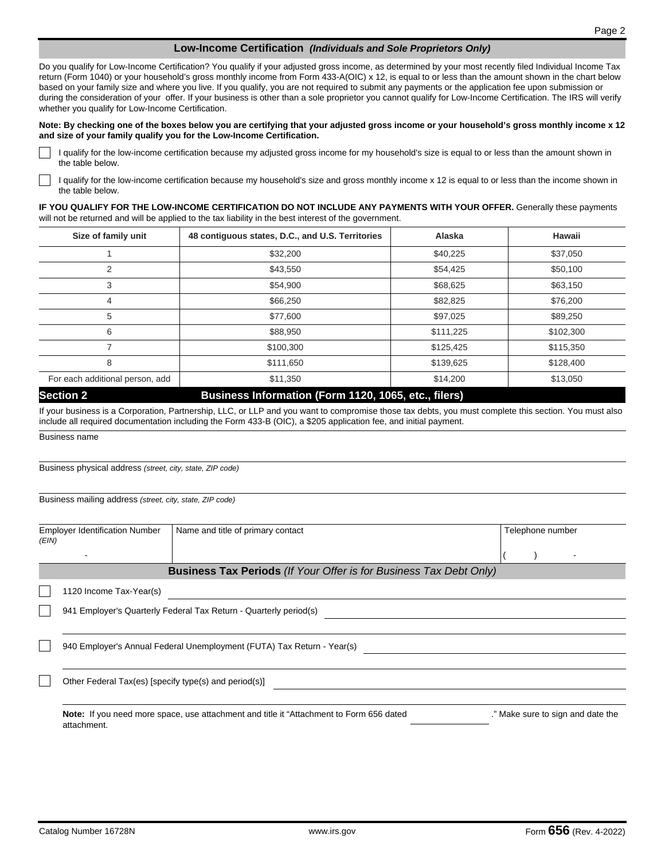#### **Low-Income Certification** *(Individuals and Sole Proprietors Only)*

Do you qualify for Low-Income Certification? You qualify if your adjusted gross income, as determined by your most recently filed Individual Income Tax return (Form 1040) or your household's gross monthly income from Form 433-A(OIC) x 12, is equal to or less than the amount shown in the chart below based on your family size and where you live. If you qualify, you are not required to submit any payments or the application fee upon submission or during the consideration of your offer. If your business is other than a sole proprietor you cannot qualify for Low-Income Certification. The IRS will verify whether you qualify for Low-Income Certification.

#### **Note: By checking one of the boxes below you are certifying that your adjusted gross income or your household's gross monthly income x 12 and size of your family qualify you for the Low-Income Certification.**

I qualify for the low-income certification because my adjusted gross income for my household's size is equal to or less than the amount shown in the table below.

I qualify for the low-income certification because my household's size and gross monthly income x 12 is equal to or less than the income shown in the table below.

**IF YOU QUALIFY FOR THE LOW-INCOME CERTIFICATION DO NOT INCLUDE ANY PAYMENTS WITH YOUR OFFER.** Generally these payments will not be returned and will be applied to the tax liability in the best interest of the government.

| Size of family unit             | 48 contiguous states, D.C., and U.S. Territories | Alaska    | Hawaii    |
|---------------------------------|--------------------------------------------------|-----------|-----------|
|                                 | \$32,200                                         | \$40,225  | \$37,050  |
| 2                               | \$43,550                                         | \$54,425  | \$50,100  |
| 3                               | \$54,900                                         | \$68,625  | \$63,150  |
| 4                               | \$66,250                                         | \$82,825  | \$76,200  |
| 5                               | \$77,600                                         | \$97,025  | \$89,250  |
| 6                               | \$88,950                                         | \$111,225 | \$102,300 |
|                                 | \$100,300                                        | \$125,425 | \$115,350 |
| 8                               | \$111,650                                        | \$139,625 | \$128,400 |
| For each additional person, add | \$11,350                                         | \$14,200  | \$13,050  |

**Section 2**

## **Business Information (Form 1120, 1065, etc., filers)**

If your business is a Corporation, Partnership, LLC, or LLP and you want to compromise those tax debts, you must complete this section. You must also include all required documentation including the Form 433-B (OIC), a \$205 application fee, and initial payment.

Business name

Business physical address *(street, city, state, ZIP code)* 

Business mailing address *(street, city, state, ZIP code)*

| <b>Employer Identification Number</b><br>(EIN) |                                                       | Name and title of primary contact                                                              | Telephone number                  |
|------------------------------------------------|-------------------------------------------------------|------------------------------------------------------------------------------------------------|-----------------------------------|
|                                                |                                                       |                                                                                                |                                   |
|                                                |                                                       | <b>Business Tax Periods</b> (If Your Offer is for Business Tax Debt Only)                      |                                   |
|                                                | 1120 Income Tax-Year(s)                               |                                                                                                |                                   |
|                                                |                                                       | 941 Employer's Quarterly Federal Tax Return - Quarterly period(s)                              |                                   |
|                                                |                                                       | 940 Employer's Annual Federal Unemployment (FUTA) Tax Return - Year(s)                         |                                   |
|                                                | Other Federal Tax(es) [specify type(s) and period(s)] |                                                                                                |                                   |
|                                                |                                                       | <b>Note:</b> If you need more space, use attachment and title it "Attachment to Form 656 dated | ." Make sure to sign and date the |

attachment.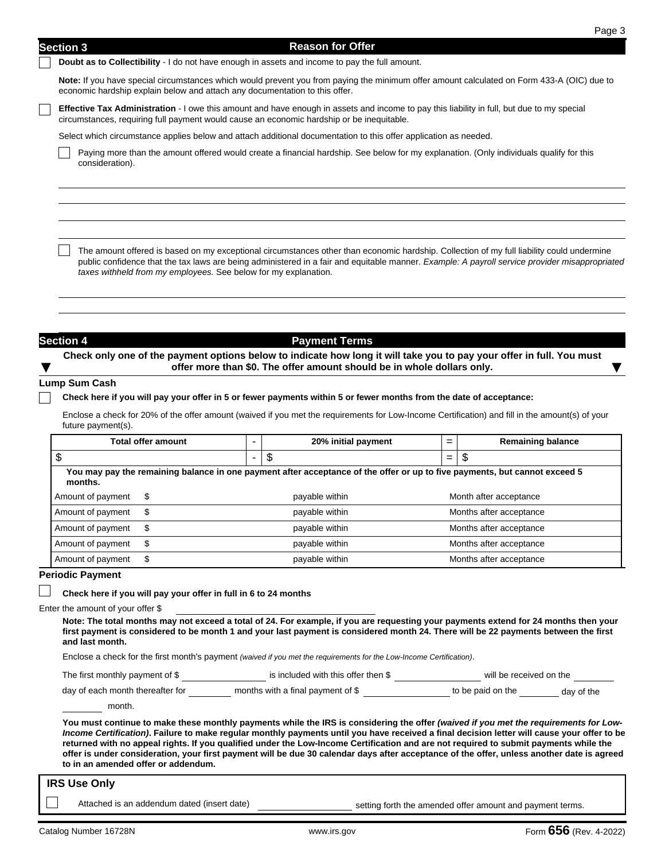# **Section 3 Reason for Offer Reason for Offer**

**Doubt as to Collectibility** - I do not have enough in assets and income to pay the full amount.

**Note:** If you have special circumstances which would prevent you from paying the minimum offer amount calculated on Form 433-A (OIC) due to economic hardship explain below and attach any documentation to this offer.

**Effective Tax Administration** - I owe this amount and have enough in assets and income to pay this liability in full, but due to my special circumstances, requiring full payment would cause an economic hardship or be inequitable.

Select which circumstance applies below and attach additional documentation to this offer application as needed.

Paying more than the amount offered would create a financial hardship. See below for my explanation. (Only individuals qualify for this consideration).

The amount offered is based on my exceptional circumstances other than economic hardship. Collection of my full liability could undermine public confidence that the tax laws are being administered in a fair and equitable manner. *Example: A payroll service provider misappropriated taxes withheld from my employees.* See below for my explanation.

**Section 4 Payment Terms** 

Check only one of the payment options below to indicate how long it will take you to pay your offer in full. You must offer more than \$0. The offer amount should be in whole dollars only.

#### **Lump Sum Cash**

**Check here if you will pay your offer in 5 or fewer payments within 5 or fewer months from the date of acceptance:** 

Enclose a check for 20% of the offer amount (waived if you met the requirements for Low-Income Certification) and fill in the amount(s) of your future payment(s).

| <b>Total offer amount</b><br>ጥ<br>J<br>You may pay the remaining balance in one payment after acceptance of the offer or up to five payments, but cannot exceed 5<br>months.<br>Amount of payment<br>\$ |  | 20% initial payment | $=$ | <b>Remaining balance</b> |
|---------------------------------------------------------------------------------------------------------------------------------------------------------------------------------------------------------|--|---------------------|-----|--------------------------|
|                                                                                                                                                                                                         |  | \$                  | $=$ | \$                       |
|                                                                                                                                                                                                         |  |                     |     |                          |
|                                                                                                                                                                                                         |  | payable within      |     | Month after acceptance   |
| Amount of payment<br>S                                                                                                                                                                                  |  | payable within      |     | Months after acceptance  |
| Amount of payment<br>\$.                                                                                                                                                                                |  | payable within      |     | Months after acceptance  |
| Amount of payment<br>S                                                                                                                                                                                  |  | payable within      |     | Months after acceptance  |
| Amount of payment<br>\$                                                                                                                                                                                 |  | payable within      |     | Months after acceptance  |

## **Periodic Payment**

#### **Check here if you will pay your offer in full in 6 to 24 months**

```
Enter the amount of your offer $
```
**Note: The total months may not exceed a total of 24. For example, if you are requesting your payments extend for 24 months then your first payment is considered to be month 1 and your last payment is considered month 24. There will be 22 payments between the first and last month.** 

Enclose a check for the first month's payment *(waived if you met the requirements for the Low-Income Certification)*.

|  | The first monthly payment of \$ | is included with this offer then \$ | will be received on the |  |
|--|---------------------------------|-------------------------------------|-------------------------|--|
|--|---------------------------------|-------------------------------------|-------------------------|--|

| months with a final payment of \$<br>day of each month thereafter for | to be paid on the<br>dav of the |  |
|-----------------------------------------------------------------------|---------------------------------|--|
|-----------------------------------------------------------------------|---------------------------------|--|

month.

You must continue to make these monthly payments while the IRS is considering the offer (waived if you met the requirements for Low-*Income Certification)***. Failure to make regular monthly payments until you have received a final decision letter will cause your offer to be returned with no appeal rights. If you qualified under the Low-Income Certification and are not required to submit payments while the offer is under consideration, your first payment will be due 30 calendar days after acceptance of the offer, unless another date is agreed to in an amended offer or addendum.** 

|  |  | <b>IRS Use Only</b> |
|--|--|---------------------|
|--|--|---------------------|

Attached is an addendum dated (insert date) setting forth the amended offer amount and payment terms.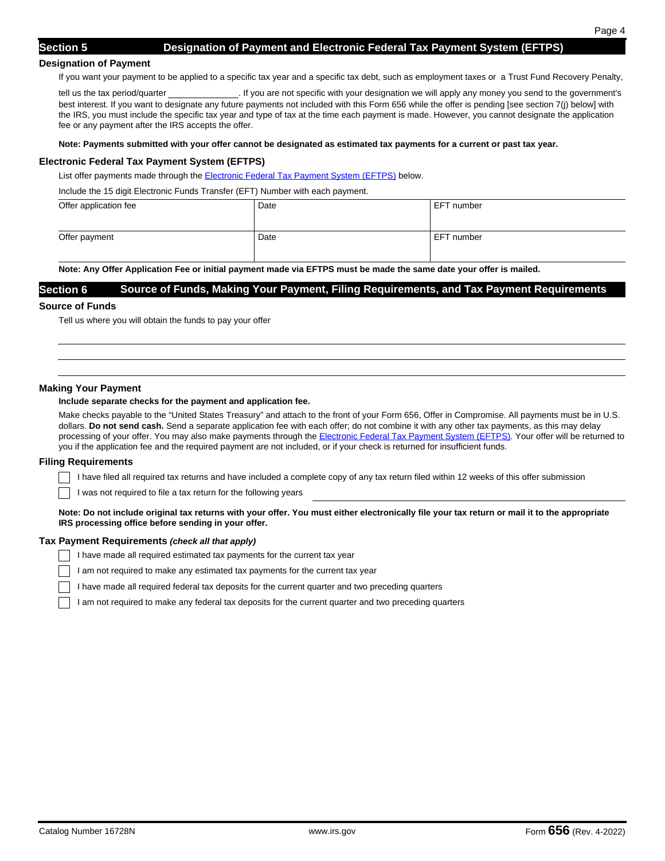#### **Designation of Payment**

If you want your payment to be applied to a specific tax year and a specific tax debt, such as employment taxes or a Trust Fund Recovery Penalty,

tell us the tax period/quarter . If you are not specific with your designation we will apply any money you send to the government's best interest. If you want to designate any future payments not included with this Form 656 while the offer is pending [see section 7(j) below] with the IRS, you must include the specific tax year and type of tax at the time each payment is made. However, you cannot designate the application fee or any payment after the IRS accepts the offer.

#### **Note: Payments submitted with your offer cannot be designated as estimated tax payments for a current or past tax year.**

#### **Electronic Federal Tax Payment System (EFTPS)**

List offer payments made through the Electronic Federal Tax Payment System (EFTPS) below.

Include the 15 digit Electronic Funds Transfer (EFT) Number with each payment.

| Offer application fee | Date | EFT number |
|-----------------------|------|------------|
| Offer payment         | Date | EFT number |

**Note: Any Offer Application Fee or initial payment made via EFTPS must be made the same date your offer is mailed.**

#### **Section 6 Source of Funds, Making Your Payment, Filing Requirements, and Tax Payment Requirements**

#### **Source of Funds**

Tell us where you will obtain the funds to pay your offer

#### **Making Your Payment**

#### **Include separate checks for the payment and application fee.**

Make checks payable to the "United States Treasury" and attach to the front of your Form 656, Offer in Compromise. All payments must be in U.S. dollars. **Do not send cash.** Send a separate application fee with each offer; do not combine it with any other tax payments, as this may delay processing of your offer. You may also make payments through the **Electronic Federal Tax Payment System (EFTPS)**. Your offer will be returned to you if the application fee and the required payment are not included, or if your check is returned for insufficient funds.

#### **Filing Requirements**

I have filed all required tax returns and have included a complete copy of any tax return filed within 12 weeks of this offer submission

I was not required to file a tax return for the following years

**Note: Do not include original tax returns with your offer. You must either electronically file your tax return or mail it to the appropriate IRS processing office before sending in your offer.** 

#### **Tax Payment Requirements** *(check all that apply)*

I have made all required estimated tax payments for the current tax year

I am not required to make any estimated tax payments for the current tax year

I have made all required federal tax deposits for the current quarter and two preceding quarters

I am not required to make any federal tax deposits for the current quarter and two preceding quarters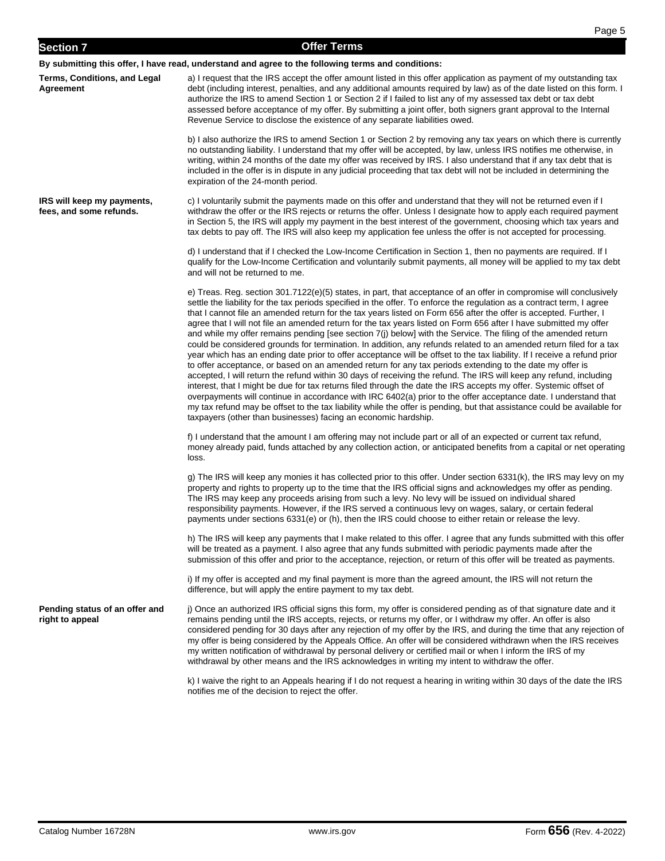| <b>Section 7</b>                                      | <b>Offer Terms</b>                                                                                                                                                                                                                                                                                                                                                                                                                                                                                                                                                                                                                                                                                                                                                                                                                                                                                                                                                                                                                                                                                                                                                                                                                                                                                                                                                                                                                                                                                                                |
|-------------------------------------------------------|-----------------------------------------------------------------------------------------------------------------------------------------------------------------------------------------------------------------------------------------------------------------------------------------------------------------------------------------------------------------------------------------------------------------------------------------------------------------------------------------------------------------------------------------------------------------------------------------------------------------------------------------------------------------------------------------------------------------------------------------------------------------------------------------------------------------------------------------------------------------------------------------------------------------------------------------------------------------------------------------------------------------------------------------------------------------------------------------------------------------------------------------------------------------------------------------------------------------------------------------------------------------------------------------------------------------------------------------------------------------------------------------------------------------------------------------------------------------------------------------------------------------------------------|
|                                                       | By submitting this offer, I have read, understand and agree to the following terms and conditions:                                                                                                                                                                                                                                                                                                                                                                                                                                                                                                                                                                                                                                                                                                                                                                                                                                                                                                                                                                                                                                                                                                                                                                                                                                                                                                                                                                                                                                |
| Terms, Conditions, and Legal<br>Agreement             | a) I request that the IRS accept the offer amount listed in this offer application as payment of my outstanding tax<br>debt (including interest, penalties, and any additional amounts required by law) as of the date listed on this form. I<br>authorize the IRS to amend Section 1 or Section 2 if I failed to list any of my assessed tax debt or tax debt<br>assessed before acceptance of my offer. By submitting a joint offer, both signers grant approval to the Internal<br>Revenue Service to disclose the existence of any separate liabilities owed.                                                                                                                                                                                                                                                                                                                                                                                                                                                                                                                                                                                                                                                                                                                                                                                                                                                                                                                                                                 |
|                                                       | b) I also authorize the IRS to amend Section 1 or Section 2 by removing any tax years on which there is currently<br>no outstanding liability. I understand that my offer will be accepted, by law, unless IRS notifies me otherwise, in<br>writing, within 24 months of the date my offer was received by IRS. I also understand that if any tax debt that is<br>included in the offer is in dispute in any judicial proceeding that tax debt will not be included in determining the<br>expiration of the 24-month period.                                                                                                                                                                                                                                                                                                                                                                                                                                                                                                                                                                                                                                                                                                                                                                                                                                                                                                                                                                                                      |
| IRS will keep my payments,<br>fees, and some refunds. | c) I voluntarily submit the payments made on this offer and understand that they will not be returned even if I<br>withdraw the offer or the IRS rejects or returns the offer. Unless I designate how to apply each required payment<br>in Section 5, the IRS will apply my payment in the best interest of the government, choosing which tax years and<br>tax debts to pay off. The IRS will also keep my application fee unless the offer is not accepted for processing.                                                                                                                                                                                                                                                                                                                                                                                                                                                                                                                                                                                                                                                                                                                                                                                                                                                                                                                                                                                                                                                      |
|                                                       | d) I understand that if I checked the Low-Income Certification in Section 1, then no payments are required. If I<br>qualify for the Low-Income Certification and voluntarily submit payments, all money will be applied to my tax debt<br>and will not be returned to me.                                                                                                                                                                                                                                                                                                                                                                                                                                                                                                                                                                                                                                                                                                                                                                                                                                                                                                                                                                                                                                                                                                                                                                                                                                                         |
|                                                       | e) Treas. Reg. section 301.7122(e)(5) states, in part, that acceptance of an offer in compromise will conclusively<br>settle the liability for the tax periods specified in the offer. To enforce the regulation as a contract term, I agree<br>that I cannot file an amended return for the tax years listed on Form 656 after the offer is accepted. Further, I<br>agree that I will not file an amended return for the tax years listed on Form 656 after I have submitted my offer<br>and while my offer remains pending [see section 7(j) below] with the Service. The filing of the amended return<br>could be considered grounds for termination. In addition, any refunds related to an amended return filed for a tax<br>year which has an ending date prior to offer acceptance will be offset to the tax liability. If I receive a refund prior<br>to offer acceptance, or based on an amended return for any tax periods extending to the date my offer is<br>accepted, I will return the refund within 30 days of receiving the refund. The IRS will keep any refund, including<br>interest, that I might be due for tax returns filed through the date the IRS accepts my offer. Systemic offset of<br>overpayments will continue in accordance with IRC 6402(a) prior to the offer acceptance date. I understand that<br>my tax refund may be offset to the tax liability while the offer is pending, but that assistance could be available for<br>taxpayers (other than businesses) facing an economic hardship. |
|                                                       | f) I understand that the amount I am offering may not include part or all of an expected or current tax refund,<br>money already paid, funds attached by any collection action, or anticipated benefits from a capital or net operating<br>loss.                                                                                                                                                                                                                                                                                                                                                                                                                                                                                                                                                                                                                                                                                                                                                                                                                                                                                                                                                                                                                                                                                                                                                                                                                                                                                  |
|                                                       | g) The IRS will keep any monies it has collected prior to this offer. Under section 6331(k), the IRS may levy on my<br>property and rights to property up to the time that the IRS official signs and acknowledges my offer as pending.<br>The IRS may keep any proceeds arising from such a levy. No levy will be issued on individual shared<br>responsibility payments. However, if the IRS served a continuous levy on wages, salary, or certain federal<br>payments under sections 6331(e) or (h), then the IRS could choose to either retain or release the levy.                                                                                                                                                                                                                                                                                                                                                                                                                                                                                                                                                                                                                                                                                                                                                                                                                                                                                                                                                           |
|                                                       | h) The IRS will keep any payments that I make related to this offer. I agree that any funds submitted with this offer<br>will be treated as a payment. I also agree that any funds submitted with periodic payments made after the<br>submission of this offer and prior to the acceptance, rejection, or return of this offer will be treated as payments.                                                                                                                                                                                                                                                                                                                                                                                                                                                                                                                                                                                                                                                                                                                                                                                                                                                                                                                                                                                                                                                                                                                                                                       |
|                                                       | i) If my offer is accepted and my final payment is more than the agreed amount, the IRS will not return the<br>difference, but will apply the entire payment to my tax debt.                                                                                                                                                                                                                                                                                                                                                                                                                                                                                                                                                                                                                                                                                                                                                                                                                                                                                                                                                                                                                                                                                                                                                                                                                                                                                                                                                      |
| Pending status of an offer and<br>right to appeal     | j) Once an authorized IRS official signs this form, my offer is considered pending as of that signature date and it<br>remains pending until the IRS accepts, rejects, or returns my offer, or I withdraw my offer. An offer is also<br>considered pending for 30 days after any rejection of my offer by the IRS, and during the time that any rejection of<br>my offer is being considered by the Appeals Office. An offer will be considered withdrawn when the IRS receives<br>my written notification of withdrawal by personal delivery or certified mail or when I inform the IRS of my<br>withdrawal by other means and the IRS acknowledges in writing my intent to withdraw the offer.                                                                                                                                                                                                                                                                                                                                                                                                                                                                                                                                                                                                                                                                                                                                                                                                                                  |
|                                                       | k) I waive the right to an Appeals hearing if I do not request a hearing in writing within 30 days of the date the IRS<br>notifies me of the decision to reject the offer.                                                                                                                                                                                                                                                                                                                                                                                                                                                                                                                                                                                                                                                                                                                                                                                                                                                                                                                                                                                                                                                                                                                                                                                                                                                                                                                                                        |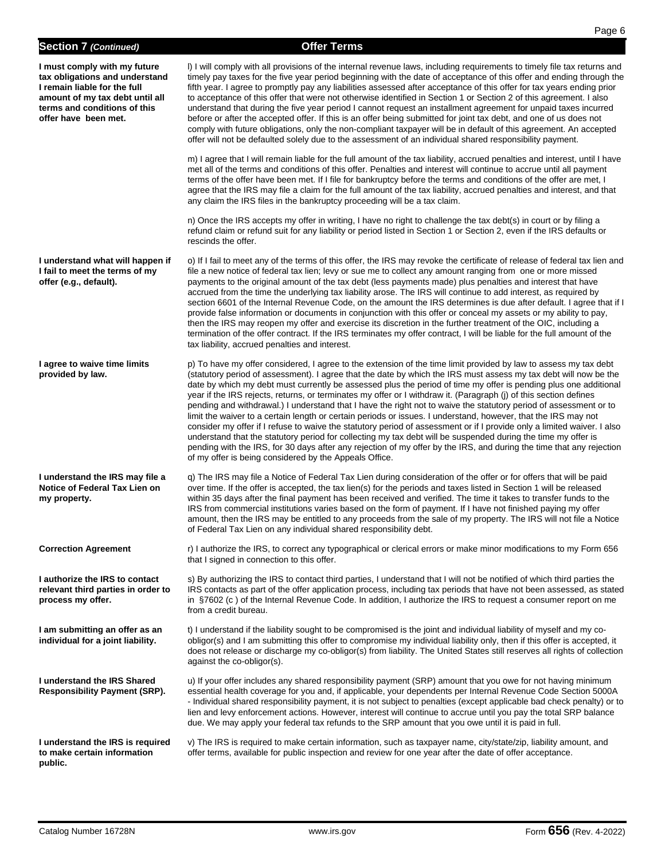# **Section 7** *(Continued)* **Offer Terms**

| I must comply with my future<br>tax obligations and understand<br>I remain liable for the full<br>amount of my tax debt until all<br>terms and conditions of this<br>offer have been met. | I) I will comply with all provisions of the internal revenue laws, including requirements to timely file tax returns and<br>timely pay taxes for the five year period beginning with the date of acceptance of this offer and ending through the<br>fifth year. I agree to promptly pay any liabilities assessed after acceptance of this offer for tax years ending prior<br>to acceptance of this offer that were not otherwise identified in Section 1 or Section 2 of this agreement. I also<br>understand that during the five year period I cannot request an installment agreement for unpaid taxes incurred<br>before or after the accepted offer. If this is an offer being submitted for joint tax debt, and one of us does not<br>comply with future obligations, only the non-compliant taxpayer will be in default of this agreement. An accepted<br>offer will not be defaulted solely due to the assessment of an individual shared responsibility payment.                                                                                                                                                                         |
|-------------------------------------------------------------------------------------------------------------------------------------------------------------------------------------------|----------------------------------------------------------------------------------------------------------------------------------------------------------------------------------------------------------------------------------------------------------------------------------------------------------------------------------------------------------------------------------------------------------------------------------------------------------------------------------------------------------------------------------------------------------------------------------------------------------------------------------------------------------------------------------------------------------------------------------------------------------------------------------------------------------------------------------------------------------------------------------------------------------------------------------------------------------------------------------------------------------------------------------------------------------------------------------------------------------------------------------------------------|
|                                                                                                                                                                                           | m) I agree that I will remain liable for the full amount of the tax liability, accrued penalties and interest, until I have<br>met all of the terms and conditions of this offer. Penalties and interest will continue to accrue until all payment<br>terms of the offer have been met. If I file for bankruptcy before the terms and conditions of the offer are met, I<br>agree that the IRS may file a claim for the full amount of the tax liability, accrued penalties and interest, and that<br>any claim the IRS files in the bankruptcy proceeding will be a tax claim.                                                                                                                                                                                                                                                                                                                                                                                                                                                                                                                                                                    |
|                                                                                                                                                                                           | n) Once the IRS accepts my offer in writing, I have no right to challenge the tax debt(s) in court or by filing a<br>refund claim or refund suit for any liability or period listed in Section 1 or Section 2, even if the IRS defaults or<br>rescinds the offer.                                                                                                                                                                                                                                                                                                                                                                                                                                                                                                                                                                                                                                                                                                                                                                                                                                                                                  |
| I understand what will happen if<br>I fail to meet the terms of my<br>offer (e.g., default).                                                                                              | o) If I fail to meet any of the terms of this offer, the IRS may revoke the certificate of release of federal tax lien and<br>file a new notice of federal tax lien; levy or sue me to collect any amount ranging from one or more missed<br>payments to the original amount of the tax debt (less payments made) plus penalties and interest that have<br>accrued from the time the underlying tax liability arose. The IRS will continue to add interest, as required by<br>section 6601 of the Internal Revenue Code, on the amount the IRS determines is due after default. I agree that if I<br>provide false information or documents in conjunction with this offer or conceal my assets or my ability to pay,<br>then the IRS may reopen my offer and exercise its discretion in the further treatment of the OIC, including a<br>termination of the offer contract. If the IRS terminates my offer contract, I will be liable for the full amount of the<br>tax liability, accrued penalties and interest.                                                                                                                                |
| I agree to waive time limits<br>provided by law.                                                                                                                                          | p) To have my offer considered, I agree to the extension of the time limit provided by law to assess my tax debt<br>(statutory period of assessment). I agree that the date by which the IRS must assess my tax debt will now be the<br>date by which my debt must currently be assessed plus the period of time my offer is pending plus one additional<br>year if the IRS rejects, returns, or terminates my offer or I withdraw it. (Paragraph (j) of this section defines<br>pending and withdrawal.) I understand that I have the right not to waive the statutory period of assessment or to<br>limit the waiver to a certain length or certain periods or issues. I understand, however, that the IRS may not<br>consider my offer if I refuse to waive the statutory period of assessment or if I provide only a limited waiver. I also<br>understand that the statutory period for collecting my tax debt will be suspended during the time my offer is<br>pending with the IRS, for 30 days after any rejection of my offer by the IRS, and during the time that any rejection<br>of my offer is being considered by the Appeals Office. |
| I understand the IRS may file a<br>Notice of Federal Tax Lien on<br>my property.                                                                                                          | q) The IRS may file a Notice of Federal Tax Lien during consideration of the offer or for offers that will be paid<br>over time. If the offer is accepted, the tax lien(s) for the periods and taxes listed in Section 1 will be released<br>within 35 days after the final payment has been received and verified. The time it takes to transfer funds to the<br>IRS from commercial institutions varies based on the form of payment. If I have not finished paying my offer<br>amount, then the IRS may be entitled to any proceeds from the sale of my property. The IRS will not file a Notice<br>of Federal Tax Lien on any individual shared responsibility debt.                                                                                                                                                                                                                                                                                                                                                                                                                                                                           |
| <b>Correction Agreement</b>                                                                                                                                                               | r) I authorize the IRS, to correct any typographical or clerical errors or make minor modifications to my Form 656<br>that I signed in connection to this offer.                                                                                                                                                                                                                                                                                                                                                                                                                                                                                                                                                                                                                                                                                                                                                                                                                                                                                                                                                                                   |
| I authorize the IRS to contact<br>relevant third parties in order to<br>process my offer.                                                                                                 | s) By authorizing the IRS to contact third parties, I understand that I will not be notified of which third parties the<br>IRS contacts as part of the offer application process, including tax periods that have not been assessed, as stated<br>in §7602 (c) of the Internal Revenue Code. In addition, I authorize the IRS to request a consumer report on me<br>from a credit bureau.                                                                                                                                                                                                                                                                                                                                                                                                                                                                                                                                                                                                                                                                                                                                                          |
| I am submitting an offer as an<br>individual for a joint liability.                                                                                                                       | t) I understand if the liability sought to be compromised is the joint and individual liability of myself and my co-<br>obligor(s) and I am submitting this offer to compromise my individual liability only, then if this offer is accepted, it<br>does not release or discharge my co-obligor(s) from liability. The United States still reserves all rights of collection<br>against the co-obligor(s).                                                                                                                                                                                                                                                                                                                                                                                                                                                                                                                                                                                                                                                                                                                                         |
| I understand the IRS Shared<br><b>Responsibility Payment (SRP).</b>                                                                                                                       | u) If your offer includes any shared responsibility payment (SRP) amount that you owe for not having minimum<br>essential health coverage for you and, if applicable, your dependents per Internal Revenue Code Section 5000A<br>- Individual shared responsibility payment, it is not subject to penalties (except applicable bad check penalty) or to<br>lien and levy enforcement actions. However, interest will continue to accrue until you pay the total SRP balance<br>due. We may apply your federal tax refunds to the SRP amount that you owe until it is paid in full.                                                                                                                                                                                                                                                                                                                                                                                                                                                                                                                                                                 |
| I understand the IRS is required<br>to make certain information<br>public.                                                                                                                | v) The IRS is required to make certain information, such as taxpayer name, city/state/zip, liability amount, and<br>offer terms, available for public inspection and review for one year after the date of offer acceptance.                                                                                                                                                                                                                                                                                                                                                                                                                                                                                                                                                                                                                                                                                                                                                                                                                                                                                                                       |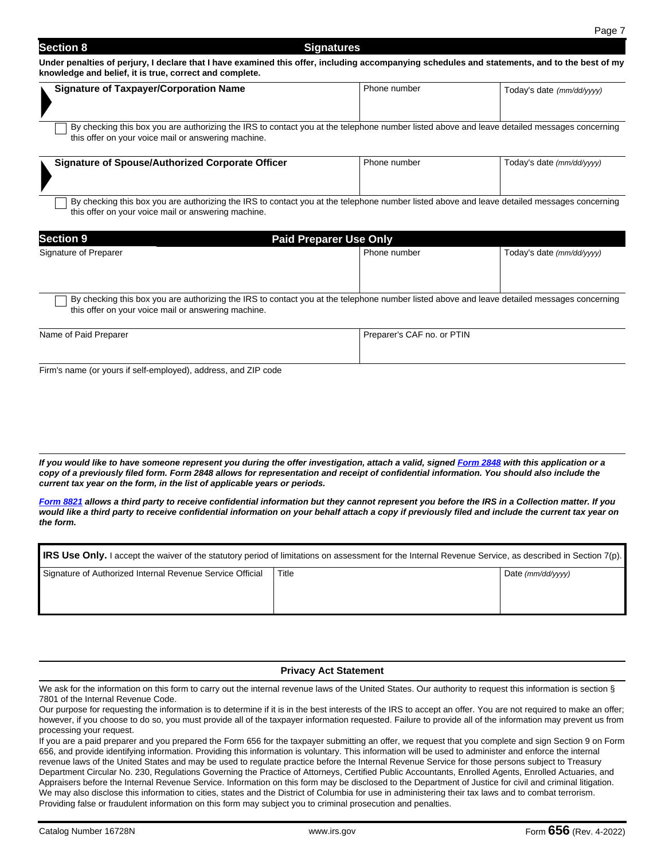#### **Section 8** Signatures **Signatures**

**Under penalties of perjury, I declare that I have examined this offer, including accompanying schedules and statements, and to the best of my knowledge and belief, it is true, correct and complete.** 

| <b>Signature of Taxpayer/Corporation Name</b>                                                                                                                                                      | Phone number | Today's date (mm/dd/yyyy) |
|----------------------------------------------------------------------------------------------------------------------------------------------------------------------------------------------------|--------------|---------------------------|
| By checking this box you are authorizing the IRS to contact you at the telephone number listed above and leave detailed messages concerning<br>this offer on your voice mail or answering machine. |              |                           |

| <b>Signature of Spouse/Authorized Corporate Officer</b> | Phone number | Today's date (mm/dd/yyyy) |
|---------------------------------------------------------|--------------|---------------------------|
|                                                         |              |                           |

By checking this box you are authorizing the IRS to contact you at the telephone number listed above and leave detailed messages concerning this offer on your voice mail or answering machine.

| <b>Section 9</b>      | <b>Paid Preparer Use Only</b>                                                                                                                                                                      |              |                           |  |
|-----------------------|----------------------------------------------------------------------------------------------------------------------------------------------------------------------------------------------------|--------------|---------------------------|--|
| Signature of Preparer |                                                                                                                                                                                                    | Phone number | Today's date (mm/dd/yyyy) |  |
|                       | By checking this box you are authorizing the IRS to contact you at the telephone number listed above and leave detailed messages concerning<br>this offer on your voice mail or answering machine. |              |                           |  |

| Name of Paid Preparer | Preparer's CAF no. or PTIN |
|-----------------------|----------------------------|
|                       |                            |
|                       |                            |

Firm's name (or yours if self-employed), address, and ZIP code

*If you would like to have someone represent you during the offer investigation, attach a valid, signed Form 2848 with this application or a copy of a previously filed form. Form 2848 allows for representation and receipt of confidential information. You should also include the current tax year on the form, in the list of applicable years or periods.* 

*Form 8821 allows a third party to receive confidential information but they cannot represent you before the IRS in a Collection matter. If you would like a third party to receive confidential information on your behalf attach a copy if previously filed and include the current tax year on the form.*

| IRS Use Only. I accept the waiver of the statutory period of limitations on assessment for the Internal Revenue Service, as described in Section 7(p). |       |                                                |  |  |
|--------------------------------------------------------------------------------------------------------------------------------------------------------|-------|------------------------------------------------|--|--|
| Signature of Authorized Internal Revenue Service Official                                                                                              | Title | Date $\langle mm/dd/\gamma\gamma\gamma\rangle$ |  |  |

#### **Privacy Act Statement**

We ask for the information on this form to carry out the internal revenue laws of the United States. Our authority to request this information is section § 7801 of the Internal Revenue Code.

Our purpose for requesting the information is to determine if it is in the best interests of the IRS to accept an offer. You are not required to make an offer; however, if you choose to do so, you must provide all of the taxpayer information requested. Failure to provide all of the information may prevent us from processing your request.

If you are a paid preparer and you prepared the Form 656 for the taxpayer submitting an offer, we request that you complete and sign Section 9 on Form 656, and provide identifying information. Providing this information is voluntary. This information will be used to administer and enforce the internal revenue laws of the United States and may be used to regulate practice before the Internal Revenue Service for those persons subject to Treasury Department Circular No. 230, Regulations Governing the Practice of Attorneys, Certified Public Accountants, Enrolled Agents, Enrolled Actuaries, and Appraisers before the Internal Revenue Service. Information on this form may be disclosed to the Department of Justice for civil and criminal litigation. We may also disclose this information to cities, states and the District of Columbia for use in administering their tax laws and to combat terrorism. Providing false or fraudulent information on this form may subject you to criminal prosecution and penalties.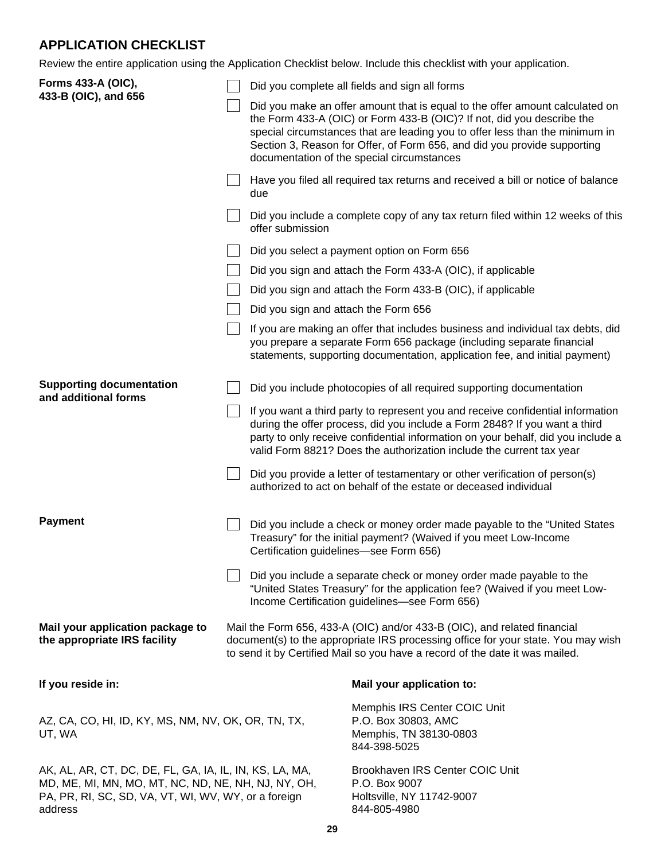# **APPLICATION CHECKLIST**

Review the entire application using the Application Checklist below. Include this checklist with your application.

| Forms 433-A (OIC),<br>433-B (OIC), and 656                                                                                                                                        |  |                                                                                                                                                                                                                                                                                                                                                                                                 | Did you complete all fields and sign all forms                                                                                                                                                                                                                                                                                                                   |  |
|-----------------------------------------------------------------------------------------------------------------------------------------------------------------------------------|--|-------------------------------------------------------------------------------------------------------------------------------------------------------------------------------------------------------------------------------------------------------------------------------------------------------------------------------------------------------------------------------------------------|------------------------------------------------------------------------------------------------------------------------------------------------------------------------------------------------------------------------------------------------------------------------------------------------------------------------------------------------------------------|--|
|                                                                                                                                                                                   |  |                                                                                                                                                                                                                                                                                                                                                                                                 | Did you make an offer amount that is equal to the offer amount calculated on<br>the Form 433-A (OIC) or Form 433-B (OIC)? If not, did you describe the<br>special circumstances that are leading you to offer less than the minimum in<br>Section 3, Reason for Offer, of Form 656, and did you provide supporting<br>documentation of the special circumstances |  |
|                                                                                                                                                                                   |  | due                                                                                                                                                                                                                                                                                                                                                                                             | Have you filed all required tax returns and received a bill or notice of balance                                                                                                                                                                                                                                                                                 |  |
|                                                                                                                                                                                   |  | offer submission                                                                                                                                                                                                                                                                                                                                                                                | Did you include a complete copy of any tax return filed within 12 weeks of this                                                                                                                                                                                                                                                                                  |  |
|                                                                                                                                                                                   |  |                                                                                                                                                                                                                                                                                                                                                                                                 | Did you select a payment option on Form 656                                                                                                                                                                                                                                                                                                                      |  |
|                                                                                                                                                                                   |  |                                                                                                                                                                                                                                                                                                                                                                                                 | Did you sign and attach the Form 433-A (OIC), if applicable                                                                                                                                                                                                                                                                                                      |  |
|                                                                                                                                                                                   |  |                                                                                                                                                                                                                                                                                                                                                                                                 | Did you sign and attach the Form 433-B (OIC), if applicable                                                                                                                                                                                                                                                                                                      |  |
|                                                                                                                                                                                   |  | Did you sign and attach the Form 656                                                                                                                                                                                                                                                                                                                                                            |                                                                                                                                                                                                                                                                                                                                                                  |  |
|                                                                                                                                                                                   |  |                                                                                                                                                                                                                                                                                                                                                                                                 | If you are making an offer that includes business and individual tax debts, did<br>you prepare a separate Form 656 package (including separate financial<br>statements, supporting documentation, application fee, and initial payment)                                                                                                                          |  |
| <b>Supporting documentation</b><br>and additional forms                                                                                                                           |  |                                                                                                                                                                                                                                                                                                                                                                                                 | Did you include photocopies of all required supporting documentation                                                                                                                                                                                                                                                                                             |  |
|                                                                                                                                                                                   |  |                                                                                                                                                                                                                                                                                                                                                                                                 | If you want a third party to represent you and receive confidential information<br>during the offer process, did you include a Form 2848? If you want a third<br>party to only receive confidential information on your behalf, did you include a<br>valid Form 8821? Does the authorization include the current tax year                                        |  |
|                                                                                                                                                                                   |  |                                                                                                                                                                                                                                                                                                                                                                                                 | Did you provide a letter of testamentary or other verification of person(s)<br>authorized to act on behalf of the estate or deceased individual                                                                                                                                                                                                                  |  |
| <b>Payment</b>                                                                                                                                                                    |  | Did you include a check or money order made payable to the "United States"<br>Treasury" for the initial payment? (Waived if you meet Low-Income<br>Certification guidelines-see Form 656)<br>Did you include a separate check or money order made payable to the<br>"United States Treasury" for the application fee? (Waived if you meet Low-<br>Income Certification guidelines-see Form 656) |                                                                                                                                                                                                                                                                                                                                                                  |  |
|                                                                                                                                                                                   |  |                                                                                                                                                                                                                                                                                                                                                                                                 |                                                                                                                                                                                                                                                                                                                                                                  |  |
| Mail your application package to<br>the appropriate IRS facility                                                                                                                  |  | Mail the Form 656, 433-A (OIC) and/or 433-B (OIC), and related financial<br>document(s) to the appropriate IRS processing office for your state. You may wish<br>to send it by Certified Mail so you have a record of the date it was mailed.                                                                                                                                                   |                                                                                                                                                                                                                                                                                                                                                                  |  |
| If you reside in:                                                                                                                                                                 |  |                                                                                                                                                                                                                                                                                                                                                                                                 | Mail your application to:                                                                                                                                                                                                                                                                                                                                        |  |
| AZ, CA, CO, HI, ID, KY, MS, NM, NV, OK, OR, TN, TX,<br>UT, WA                                                                                                                     |  |                                                                                                                                                                                                                                                                                                                                                                                                 | Memphis IRS Center COIC Unit<br>P.O. Box 30803, AMC<br>Memphis, TN 38130-0803<br>844-398-5025                                                                                                                                                                                                                                                                    |  |
| AK, AL, AR, CT, DC, DE, FL, GA, IA, IL, IN, KS, LA, MA,<br>MD, ME, MI, MN, MO, MT, NC, ND, NE, NH, NJ, NY, OH,<br>PA, PR, RI, SC, SD, VA, VT, WI, WV, WY, or a foreign<br>address |  |                                                                                                                                                                                                                                                                                                                                                                                                 | Brookhaven IRS Center COIC Unit<br>P.O. Box 9007<br>Holtsville, NY 11742-9007<br>844-805-4980                                                                                                                                                                                                                                                                    |  |